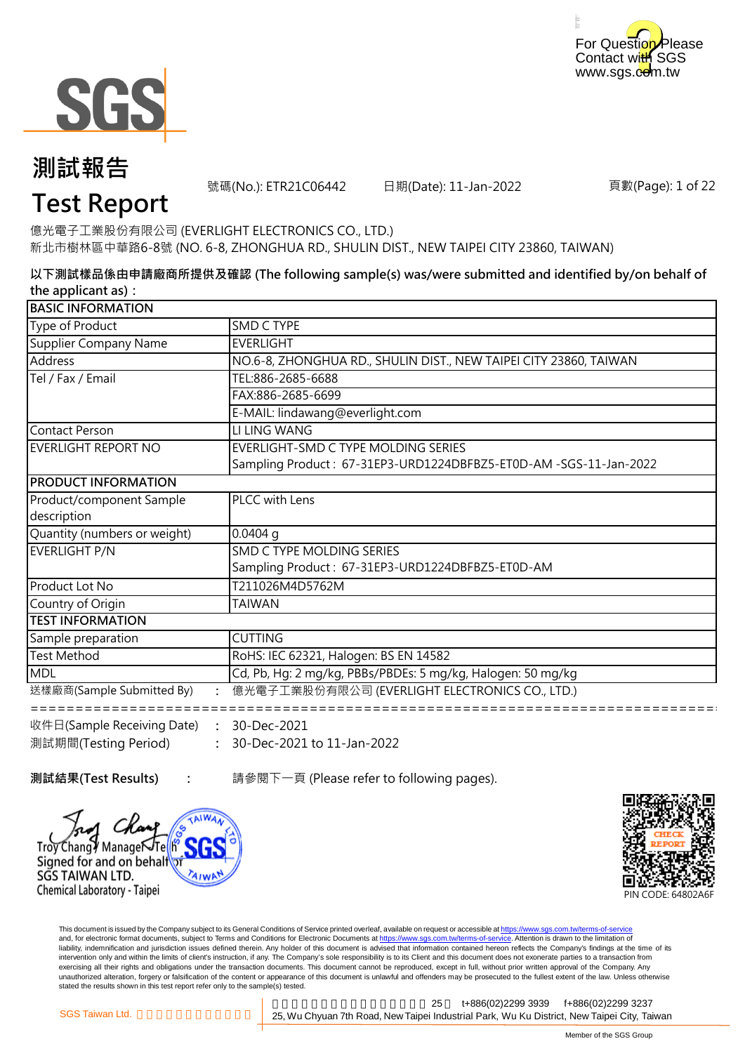



號碼(No.): ETR21C06442 日期(Date): 11-Jan-2022

頁數(Page): 1 of 22

## **Test Report**

億光電子工業股份有限公司 (EVERLIGHT ELECTRONICS CO., LTD.) 新北市樹林區中華路6-8號 (NO. 6-8, ZHONGHUA RD., SHULIN DIST., NEW TAIPEI CITY 23860, TAIWAN)

**以下測試樣品係由申請廠商所提供及確認 (The following sample(s) was/were submitted and identified by/on behalf of the applicant as):**

| <b>BASIC INFORMATION</b>     |                                                                   |
|------------------------------|-------------------------------------------------------------------|
| Type of Product              | SMD C TYPE                                                        |
| Supplier Company Name        | <b>EVERLIGHT</b>                                                  |
| Address                      | NO.6-8, ZHONGHUA RD., SHULIN DIST., NEW TAIPEI CITY 23860, TAIWAN |
| Tel / Fax / Email            | TEL:886-2685-6688                                                 |
|                              | FAX:886-2685-6699                                                 |
|                              | E-MAIL: lindawang@everlight.com                                   |
| Contact Person               | LI LING WANG                                                      |
| EVERLIGHT REPORT NO          | EVERLIGHT-SMD C TYPE MOLDING SERIES                               |
|                              | Sampling Product: 67-31EP3-URD1224DBFBZ5-ET0D-AM -SGS-11-Jan-2022 |
| <b>PRODUCT INFORMATION</b>   |                                                                   |
| Product/component Sample     | PLCC with Lens                                                    |
| description                  |                                                                   |
| Quantity (numbers or weight) | $0.0404$ q                                                        |
| EVERLIGHT P/N                | SMD C TYPE MOLDING SERIES                                         |
|                              | Sampling Product: 67-31EP3-URD1224DBFBZ5-ET0D-AM                  |
| Product Lot No               | T211026M4D5762M                                                   |
| Country of Origin            | TAIWAN                                                            |
| <b>TEST INFORMATION</b>      |                                                                   |
| Sample preparation           | <b>CUTTING</b>                                                    |
| <b>Test Method</b>           | RoHS: IEC 62321, Halogen: BS EN 14582                             |
| <b>MDL</b>                   | Cd, Pb, Hg: 2 mg/kg, PBBs/PBDEs: 5 mg/kg, Halogen: 50 mg/kg       |
| 送樣廠商(Sample Submitted By)    | 億光電子工業股份有限公司 (EVERLIGHT ELECTRONICS CO., LTD.)                    |
| 收件日(Sample Receiving Date)   | 30-Dec-2021                                                       |

**: :** 30-Dec-2021 to 11-Jan-2022 收件日(Sample Receiving Date) 測試期間(Testing Period) 30-Dec-2021

**測試結果(Test Results) :** 請參閱下一頁 (Please refer to following pages).





This document is issued by the Company subject to its General Conditions of Service printed overleaf, available on request or accessible at <u>https://www.sgs.com.tw/terms-of-service</u><br>and, for electronic format documents, su liability, indemnification and jurisdiction issues defined therein. Any holder of this document is advised that information contained hereon reflects the Company's findings at the time of its intervention only and within the limits of client's instruction, if any. The Company's sole responsibility is to its Client and this document does not exonerate parties to a transaction from exercising all their rights and obligations under the transaction documents. This document cannot be reproduced, except in full, without prior written approval of the Company. Any<br>unauthorized alteration, forgery or falsif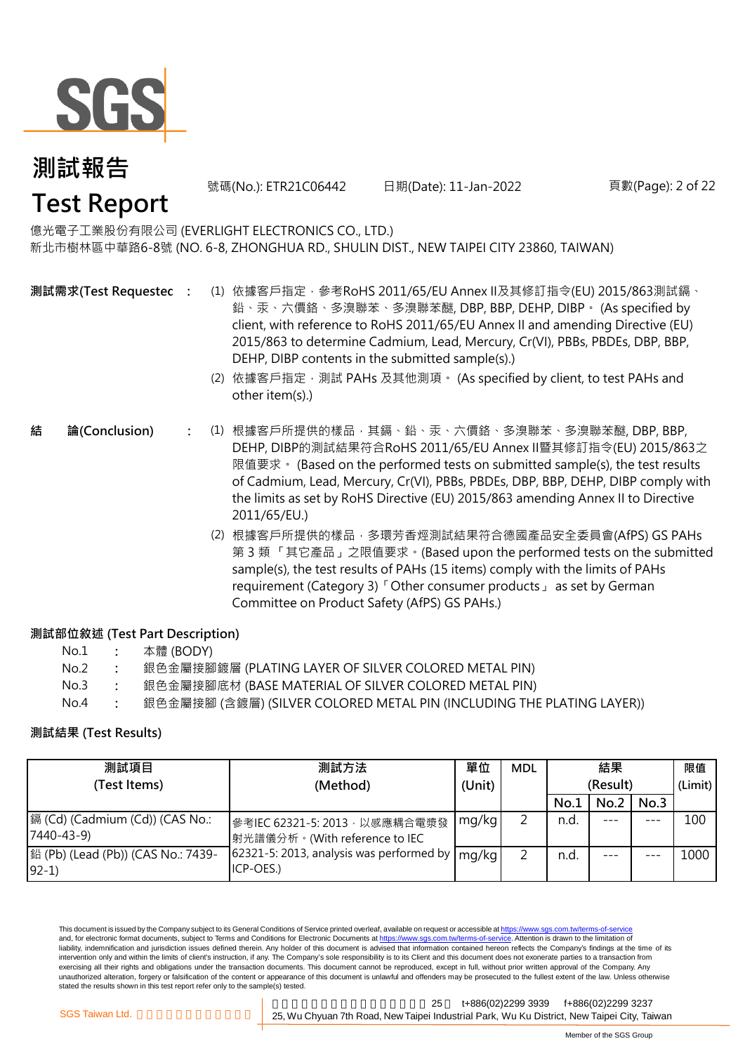

號碼(No.): ETR21C06442 日期(Date): 11-Jan-2022 頁數(Page): 2 of 22

### 億光電子工業股份有限公司 (EVERLIGHT ELECTRONICS CO., LTD.) 新北市樹林區中華路6-8號 (NO. 6-8, ZHONGHUA RD., SHULIN DIST., NEW TAIPEI CITY 23860, TAIWAN)

- **測試需求(Test Requested)**
- **:** (1) 依據客戶指定,參考RoHS 2011/65/EU Annex II及其修訂指令(EU) 2015/863測試鎘、 鉛、汞、六價鉻、多溴聯苯、多溴聯苯醚, DBP, BBP, DEHP, DIBP。 (As specified by client, with reference to RoHS 2011/65/EU Annex II and amending Directive (EU) 2015/863 to determine Cadmium, Lead, Mercury, Cr(VI), PBBs, PBDEs, DBP, BBP, DEHP, DIBP contents in the submitted sample(s).)
	- (2) 依據客戶指定,測試 PAHs 及其他測項。 (As specified by client, to test PAHs and other item(s).)
- **:** (1) 根據客戶所提供的樣品,其鎘、鉛、汞、六價鉻、多溴聯苯、多溴聯苯醚, DBP, BBP, **結 論(Conclusion)** DEHP, DIBP的測試結果符合RoHS 2011/65/EU Annex II暨其修訂指令(EU) 2015/863之 限值要求。 (Based on the performed tests on submitted sample(s), the test results of Cadmium, Lead, Mercury, Cr(VI), PBBs, PBDEs, DBP, BBP, DEHP, DIBP comply with the limits as set by RoHS Directive (EU) 2015/863 amending Annex II to Directive 2011/65/EU.)
	- (2) 根據客戶所提供的樣品,多環芳香烴測試結果符合德國產品安全委員會(AfPS) GS PAHs 第 3 類 「其它產品」之限值要求。(Based upon the performed tests on the submitted sample(s), the test results of PAHs (15 items) comply with the limits of PAHs requirement (Category 3)「Other consumer products」 as set by German Committee on Product Safety (AfPS) GS PAHs.)

### **測試部位敘述 (Test Part Description)**

| No.1 | 本體 (BODY) |
|------|-----------|
|------|-----------|

- No.2 **:** 銀色金屬接腳鍍層 (PLATING LAYER OF SILVER COLORED METAL PIN)
- No.3 **:** 銀色金屬接腳底材 (BASE MATERIAL OF SILVER COLORED METAL PIN)
- No.4 **:** 銀色金屬接腳 (含鍍層) (SILVER COLORED METAL PIN (INCLUDING THE PLATING LAYER))

### **測試結果 (Test Results)**

| 測試項目                                           | 測試方法                                                            | 單位     | <b>MDL</b> |          | 結果   |      | 限值      |
|------------------------------------------------|-----------------------------------------------------------------|--------|------------|----------|------|------|---------|
| (Test Items)                                   | (Method)                                                        | (Unit) |            | (Result) |      |      | (Limit) |
|                                                |                                                                 |        |            | No.1     | No.2 | No.3 |         |
| [] (Cd) (Cadmium (Cd)) (CAS No.:<br>7440-43-9) | 參考IEC 62321-5: 2013, 以感應耦合電漿發<br> 射光譜儀分析。(With reference to IEC | mg/kg  |            | n.d.     |      | ---  | 100     |
| 鉛 (Pb) (Lead (Pb)) (CAS No.: 7439-<br>$92-1)$  | 62321-5: 2013, analysis was performed by<br>ICP-OES.)           | mg/kg  |            | n.d.     |      |      | 1000    |

This document is issued by the Company subject to its General Conditions of Service printed overleaf, available on request or accessible at https://www.sgs.com.tw/terms-of-service and, for electronic format documents, subject to Terms and Conditions for Electronic Documents at https://www.sgs.com.tw/terms-of-service. Attention is drawn to the limitation of liability, indemnification and jurisdiction issues defined therein. Any holder of this document is advised that information contained hereon reflects the Company's findings at the time of its intervention only and within the limits of client's instruction, if any. The Company's sole responsibility is to its Client and this document does not exonerate parties to a transaction from exercising all their rights and obligations under the transaction documents. This document cannot be reproduced, except in full, without prior written approval of the Company. Any unauthorized alteration, forgery or falsification of the content or appearance of this document is unlawful and offenders may be prosecuted to the fullest extent of the law. Unless otherwise stated the results shown in this test report refer only to the sample(s) tested.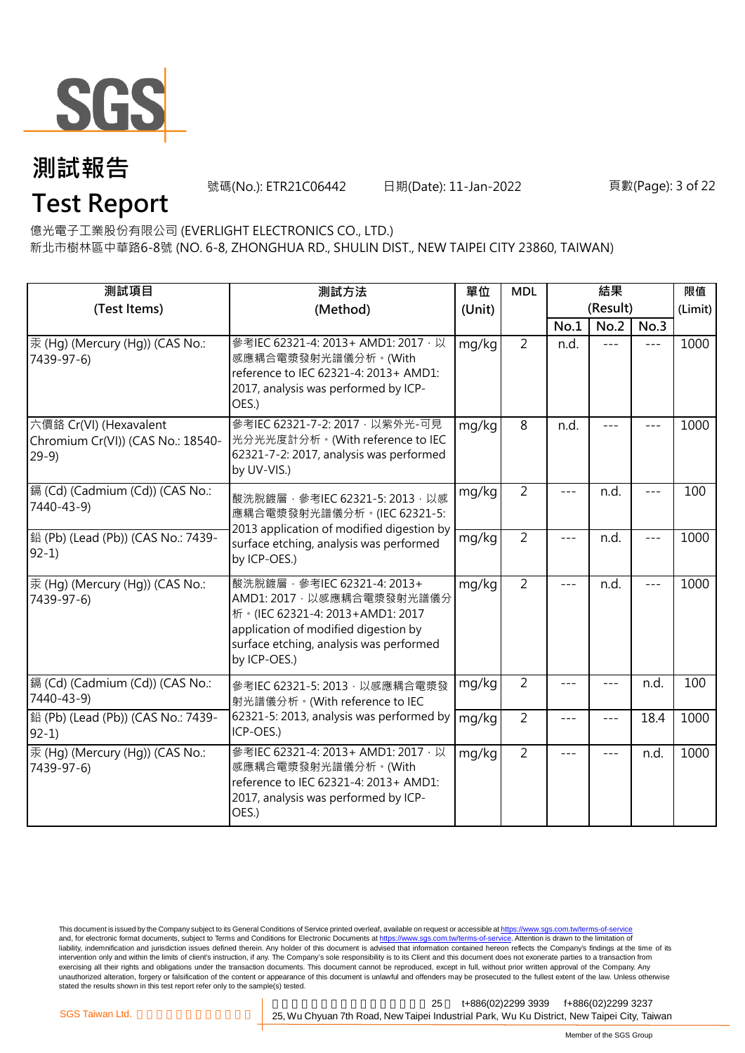

號碼(No.): ETR21C06442 日期(Date): 11-Jan-2022 頁數(Page): 3 of 22

**Test Report**

億光電子工業股份有限公司 (EVERLIGHT ELECTRONICS CO., LTD.)

新北市樹林區中華路6-8號 (NO. 6-8, ZHONGHUA RD., SHULIN DIST., NEW TAIPEI CITY 23860, TAIWAN)

| 測試項目<br>(Test Items)                                                  | 測試方法<br>(Method)                                                                                                                                                                                |       | <b>MDL</b>     |         | 結果<br>(Result) |       | 限值<br>(Limit) |
|-----------------------------------------------------------------------|-------------------------------------------------------------------------------------------------------------------------------------------------------------------------------------------------|-------|----------------|---------|----------------|-------|---------------|
|                                                                       |                                                                                                                                                                                                 |       |                | No.1    | No.2           | No.3  |               |
| 汞 (Hg) (Mercury (Hg)) (CAS No.:<br>7439-97-6)                         | 參考IEC 62321-4: 2013+ AMD1: 2017, 以<br>感應耦合電漿發射光譜儀分析。(With<br>reference to IEC 62321-4: 2013+ AMD1:<br>2017, analysis was performed by ICP-<br>OES.)                                             | mg/kg | $\overline{2}$ | n.d.    | $---$          | $---$ | 1000          |
| 六價鉻 Cr(VI) (Hexavalent<br>Chromium Cr(VI)) (CAS No.: 18540-<br>$29-9$ | 參考IEC 62321-7-2: 2017 · 以紫外光-可見<br>光分光光度計分析。(With reference to IEC<br>62321-7-2: 2017, analysis was performed<br>by UV-VIS.)                                                                    | mg/kg | 8              | n.d.    | $- - -$        |       | 1000          |
| [鎘 (Cd) (Cadmium (Cd)) (CAS No.:<br>7440-43-9)                        | mg/kg<br>酸洗脫鍍層, 參考IEC 62321-5: 2013, 以感<br>應耦合電漿發射光譜儀分析。(IEC 62321-5:<br>2013 application of modified digestion by<br>mg/kg<br>surface etching, analysis was performed<br>by ICP-OES.)          |       | $\overline{2}$ |         | n.d.           | $---$ | 100           |
| 鉛 (Pb) (Lead (Pb)) (CAS No.: 7439-<br>$92-1)$                         |                                                                                                                                                                                                 |       | $\overline{2}$ | $---$   | n.d.           | $---$ | 1000          |
| 汞 (Hg) (Mercury (Hg)) (CAS No.:<br>7439-97-6)                         | 酸洗脫鍍層, 參考IEC 62321-4: 2013+<br>AMD1: 2017 · 以感應耦合電漿發射光譜儀分<br>析。(IEC 62321-4: 2013+AMD1: 2017<br>application of modified digestion by<br>surface etching, analysis was performed<br>by ICP-OES.) | mg/kg | $\overline{2}$ | $---$   | n.d.           | $---$ | 1000          |
| 鎘 (Cd) (Cadmium (Cd)) (CAS No.:<br>7440-43-9)                         | 參考IEC 62321-5: 2013, 以感應耦合電漿發<br>射光譜儀分析。(With reference to IEC                                                                                                                                  | mg/kg | $\overline{2}$ | $- - -$ | $---$          | n.d.  | 100           |
| 鉛 (Pb) (Lead (Pb)) (CAS No.: 7439-<br>$92-1$                          | 62321-5: 2013, analysis was performed by<br>ICP-OES.)                                                                                                                                           | mg/kg | $\overline{2}$ | $---$   | $---$          | 18.4  | 1000          |
| 汞 (Hq) (Mercury (Hq)) (CAS No.:<br>7439-97-6)                         | 參考IEC 62321-4: 2013+ AMD1: 2017 · 以<br>感應耦合電漿發射光譜儀分析。(With<br>reference to IEC 62321-4: 2013+ AMD1:<br>2017, analysis was performed by ICP-<br>OES.)                                            | mg/kg | $\overline{2}$ | $- - -$ | $\frac{1}{2}$  | n.d.  | 1000          |

This document is issued by the Company subject to its General Conditions of Service printed overleaf, available on request or accessible at <u>https://www.sgs.com.tw/terms-of-service</u><br>and, for electronic format documents, su liability, indemnification and jurisdiction issues defined therein. Any holder of this document is advised that information contained hereon reflects the Company's findings at the time of its intervention only and within the limits of client's instruction, if any. The Company's sole responsibility is to its Client and this document does not exonerate parties to a transaction from exercising all their rights and obligations under the transaction documents. This document cannot be reproduced, except in full, without prior written approval of the Company. Any<br>unauthorized alteration, forgery or falsif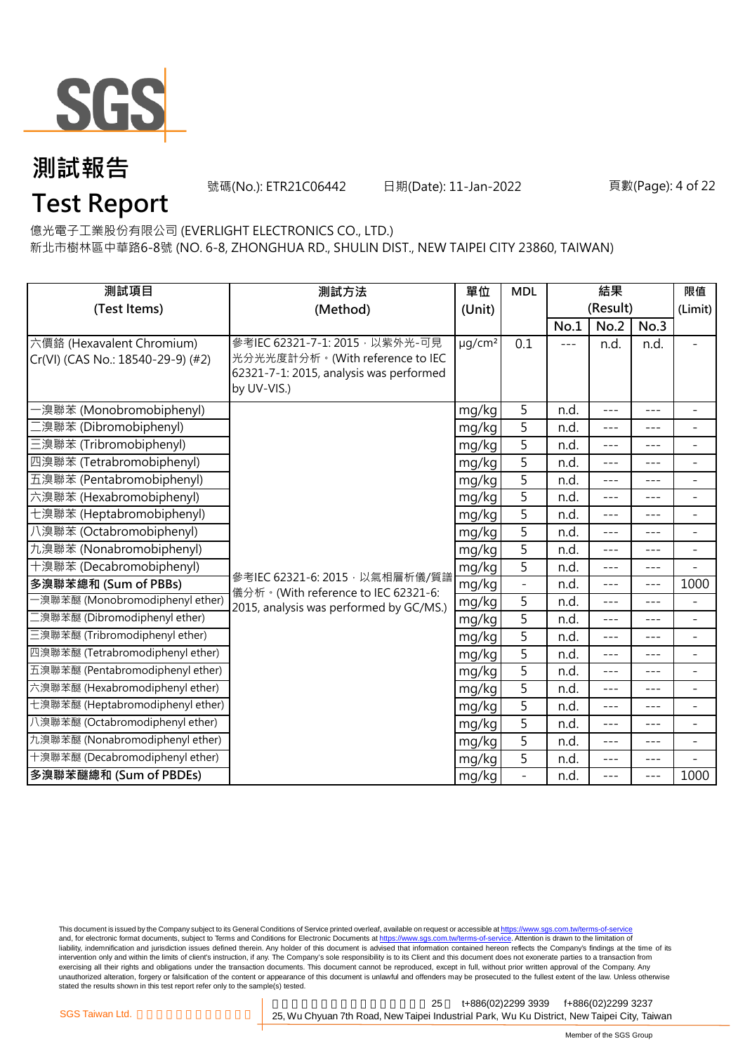

號碼(No.): ETR21C06442 日期(Date): 11-Jan-2022 頁數(Page): 4 of 22

## **Test Report**

億光電子工業股份有限公司 (EVERLIGHT ELECTRONICS CO., LTD.)

新北市樹林區中華路6-8號 (NO. 6-8, ZHONGHUA RD., SHULIN DIST., NEW TAIPEI CITY 23860, TAIWAN)

| 測試項目                                                           | 測試方法                                                                                                                         | 單位                      | <b>MDL</b>               | 結果    |                  |         | 限值                       |
|----------------------------------------------------------------|------------------------------------------------------------------------------------------------------------------------------|-------------------------|--------------------------|-------|------------------|---------|--------------------------|
| (Test Items)                                                   | (Method)                                                                                                                     | (Unit)                  |                          | No.1  | (Result)<br>No.2 | No.3    | (Limit)                  |
| 六價鉻 (Hexavalent Chromium)<br>Cr(VI) (CAS No.: 18540-29-9) (#2) | 參考IEC 62321-7-1: 2015 · 以紫外光-可見<br>光分光光度計分析。(With reference to IEC<br>62321-7-1: 2015, analysis was performed<br>by UV-VIS.) | $\mu$ g/cm <sup>2</sup> | 0.1                      | $---$ | n.d.             | n.d.    | ÷                        |
| ·溴聯苯 (Monobromobiphenyl)                                       |                                                                                                                              | mg/kg                   | 5                        | n.d.  | $---$            | $---$   | $\overline{\phantom{a}}$ |
| 二溴聯苯 (Dibromobiphenyl)                                         |                                                                                                                              | mg/kg                   | 5                        | n.d.  | ---              | ---     | $\overline{\phantom{0}}$ |
| 三溴聯苯 (Tribromobiphenyl)                                        |                                                                                                                              | mg/kg                   | 5                        | n.d.  | $- - -$          | ---     | $\overline{\phantom{a}}$ |
| 四溴聯苯 (Tetrabromobiphenyl)                                      |                                                                                                                              | mg/kg                   | 5                        | n.d.  | $---$            | $- - -$ | ÷                        |
| 五溴聯苯 (Pentabromobiphenyl)                                      |                                                                                                                              | mg/kg                   | $\overline{5}$           | n.d.  | $---$            | $---$   | $\overline{a}$           |
| 六溴聯苯 (Hexabromobiphenyl)                                       |                                                                                                                              | mg/kg                   | 5                        | n.d.  | $---$            | $---$   | $\overline{\phantom{0}}$ |
| 七溴聯苯 (Heptabromobiphenyl)                                      |                                                                                                                              | mg/kg                   | 5                        | n.d.  | ---              | ---     | $\overline{a}$           |
| 八溴聯苯 (Octabromobiphenyl)                                       |                                                                                                                              | mg/kg                   | 5                        | n.d.  | $- - -$          | $---$   | $\overline{\phantom{a}}$ |
| 九溴聯苯 (Nonabromobiphenyl)                                       |                                                                                                                              | mg/kg                   | 5                        | n.d.  | $- - -$          | $- - -$ | $\overline{\phantom{a}}$ |
| 十溴聯苯 (Decabromobiphenyl)                                       |                                                                                                                              | mg/kg                   | 5                        | n.d.  | $---$            | ---     | $\overline{a}$           |
| 多溴聯苯總和 (Sum of PBBs)                                           | 參考IEC 62321-6: 2015, 以氣相層析儀/質譜<br>儀分析。(With reference to IEC 62321-6:                                                        | mg/kg                   | $\overline{\phantom{0}}$ | n.d.  | $---$            | $---$   | 1000                     |
| -溴聯苯醚 (Monobromodiphenyl ether)                                | 2015, analysis was performed by GC/MS.)                                                                                      | mg/kg                   | 5                        | n.d.  | $---$            | ---     | $\overline{\phantom{0}}$ |
| _溴聯苯醚 (Dibromodiphenyl ether)                                  |                                                                                                                              | mg/kg                   | 5                        | n.d.  | $---$            | $---$   | $\overline{\phantom{a}}$ |
| 三溴聯苯醚 (Tribromodiphenyl ether)                                 |                                                                                                                              | mg/kg                   | 5                        | n.d.  | $---$            | $---$   | $\overline{a}$           |
| 四溴聯苯醚 (Tetrabromodiphenyl ether)                               |                                                                                                                              | mg/kg                   | 5                        | n.d.  | $---$            | $---$   | $\blacksquare$           |
| 五溴聯苯醚 (Pentabromodiphenyl ether)                               |                                                                                                                              | mg/kg                   | 5                        | n.d.  | $---$            | $- - -$ | ÷                        |
| 六溴聯苯醚 (Hexabromodiphenyl ether)                                |                                                                                                                              | mg/kg                   | 5                        | n.d.  | $---$            | $---$   | $\overline{\phantom{0}}$ |
| 七溴聯苯醚 (Heptabromodiphenyl ether)                               |                                                                                                                              | mg/kg                   | 5                        | n.d.  | $---$            | $---$   | $\overline{\phantom{a}}$ |
| 八溴聯苯醚 (Octabromodiphenyl ether)                                |                                                                                                                              | mg/kg                   | $\overline{5}$           | n.d.  | $---$            | ---     | $\overline{\phantom{0}}$ |
| 九溴聯苯醚 (Nonabromodiphenyl ether)                                |                                                                                                                              | mg/kg                   | $\overline{5}$           | n.d.  | $---$            | $---$   | $\overline{\phantom{a}}$ |
| 十溴聯苯醚 (Decabromodiphenyl ether)                                |                                                                                                                              | mg/kg                   | 5                        | n.d.  | ---              | ---     |                          |
| 多溴聯苯醚總和 (Sum of PBDEs)                                         |                                                                                                                              | mg/kg                   |                          | n.d.  | $---$            | $---$   | 1000                     |

This document is issued by the Company subject to its General Conditions of Service printed overleaf, available on request or accessible at <u>https://www.sgs.com.tw/terms-of-service</u><br>and, for electronic format documents, su liability, indemnification and jurisdiction issues defined therein. Any holder of this document is advised that information contained hereon reflects the Company's findings at the time of its intervention only and within the limits of client's instruction, if any. The Company's sole responsibility is to its Client and this document does not exonerate parties to a transaction from exercising all their rights and obligations under the transaction documents. This document cannot be reproduced, except in full, without prior written approval of the Company. Any<br>unauthorized alteration, forgery or falsif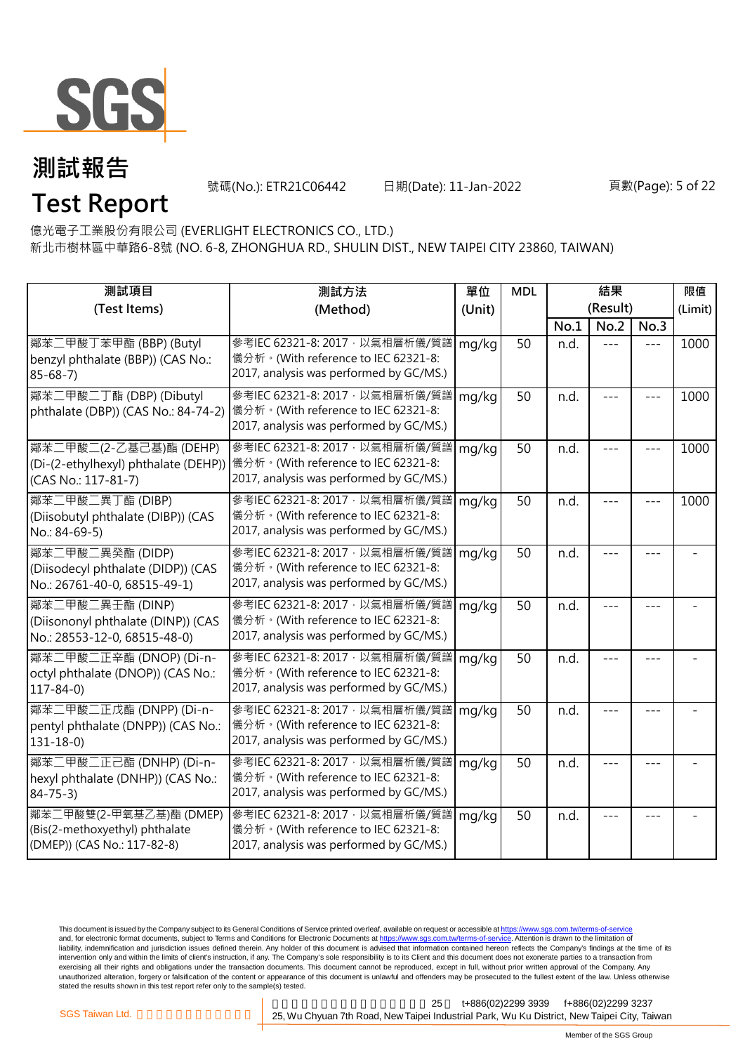

號碼(No.): ETR21C06442 日期(Date): 11-Jan-2022 頁數(Page): 5 of 22

**Test Report**

億光電子工業股份有限公司 (EVERLIGHT ELECTRONICS CO., LTD.)

新北市樹林區中華路6-8號 (NO. 6-8, ZHONGHUA RD., SHULIN DIST., NEW TAIPEI CITY 23860, TAIWAN)

| 測試項目                                                                                     | 測試方法                                                                                                                                                  | 單位     | <b>MDL</b> | 結果       |      |      | 限值      |
|------------------------------------------------------------------------------------------|-------------------------------------------------------------------------------------------------------------------------------------------------------|--------|------------|----------|------|------|---------|
| (Test Items)                                                                             | (Method)                                                                                                                                              | (Unit) |            | (Result) |      |      | (Limit) |
|                                                                                          |                                                                                                                                                       |        |            | No.1     | No.2 | No.3 |         |
| 鄰苯二甲酸丁苯甲酯 (BBP) (Butyl<br>benzyl phthalate (BBP)) (CAS No.:<br>$85 - 68 - 7$             | 參考IEC 62321-8: 2017, 以氣相層析儀/質譜<br>儀分析。(With reference to IEC 62321-8:<br>2017, analysis was performed by GC/MS.)                                      | mg/kg  | 50         | n.d.     |      |      | 1000    |
| 鄰苯二甲酸二丁酯 (DBP) (Dibutyl<br>phthalate (DBP)) (CAS No.: 84-74-2)                           | 參考IEC 62321-8: 2017, 以氣相層析儀/質譜<br> 儀分析。(With reference to IEC 62321-8:<br>2017, analysis was performed by GC/MS.)                                     | mg/kg  | 50         | n.d.     |      |      | 1000    |
| 鄰苯二甲酸二(2-乙基己基)酯 (DEHP)<br>(CAS No.: 117-81-7)                                            | 參考IEC 62321-8: 2017, 以氣相層析儀/質譜<br>(Di-(2-ethylhexyl) phthalate (DEHP)) 儀分析。(With reference to IEC 62321-8:<br>2017, analysis was performed by GC/MS.) | mg/kg  | 50         | n.d.     |      |      | 1000    |
| 鄰苯二甲酸二異丁酯 (DIBP)<br>(Diisobutyl phthalate (DIBP)) (CAS<br>No.: 84-69-5)                  | 參考IEC 62321-8: 2017, 以氣相層析儀/質譜<br>儀分析。(With reference to IEC 62321-8:<br>2017, analysis was performed by GC/MS.)                                      | mg/kg  | 50         | n.d.     |      |      | 1000    |
| 鄰苯二甲酸二異癸酯 (DIDP)<br>(Diisodecyl phthalate (DIDP)) (CAS<br>No.: 26761-40-0, 68515-49-1)   | 參考IEC 62321-8: 2017, 以氣相層析儀/質譜<br>儀分析。(With reference to IEC 62321-8:<br>2017, analysis was performed by GC/MS.)                                      | mg/kg  | 50         | n.d.     |      |      |         |
| 鄰苯二甲酸二異壬酯 (DINP)<br>(Diisononyl phthalate (DINP)) (CAS<br>No.: 28553-12-0, 68515-48-0)   | 參考IEC 62321-8: 2017, 以氣相層析儀/質譜<br>儀分析。(With reference to IEC 62321-8:<br>2017, analysis was performed by GC/MS.)                                      | mg/kg  | 50         | n.d.     |      |      |         |
| 鄰苯二甲酸二正辛酯 (DNOP) (Di-n-<br>octyl phthalate (DNOP)) (CAS No.:<br>$117 - 84 - 0$           | 參考IEC 62321-8: 2017, 以氣相層析儀/質譜<br>儀分析。(With reference to IEC 62321-8:<br>2017, analysis was performed by GC/MS.)                                      | mg/kg  | 50         | n.d.     |      |      |         |
| 鄰苯二甲酸二正戊酯 (DNPP) (Di-n-<br>pentyl phthalate (DNPP)) (CAS No.:<br>$131 - 18 - 0$          | 參考IEC 62321-8: 2017, 以氣相層析儀/質譜<br>儀分析。(With reference to IEC 62321-8:<br>2017, analysis was performed by GC/MS.)                                      | mg/kg  | 50         | n.d.     |      |      |         |
| 鄰苯二甲酸二正己酯 (DNHP) (Di-n-<br>hexyl phthalate (DNHP)) (CAS No.:<br>$84 - 75 - 3$            | 參考IEC 62321-8: 2017, 以氣相層析儀/質譜<br>儀分析。(With reference to IEC 62321-8:<br>2017, analysis was performed by GC/MS.)                                      | mg/kg  | 50         | n.d.     |      |      |         |
| 鄰苯二甲酸雙(2-甲氧基乙基)酯 (DMEP)<br>(Bis(2-methoxyethyl) phthalate<br>(DMEP)) (CAS No.: 117-82-8) | 參考IEC 62321-8: 2017, 以氣相層析儀/質譜<br>儀分析。(With reference to IEC 62321-8:<br>2017, analysis was performed by GC/MS.)                                      | mg/kg  | 50         | n.d.     | ---  |      |         |

This document is issued by the Company subject to its General Conditions of Service printed overleaf, available on request or accessible at <u>https://www.sgs.com.tw/terms-of-service</u><br>and, for electronic format documents, su liability, indemnification and jurisdiction issues defined therein. Any holder of this document is advised that information contained hereon reflects the Company's findings at the time of its intervention only and within the limits of client's instruction, if any. The Company's sole responsibility is to its Client and this document does not exonerate parties to a transaction from exercising all their rights and obligations under the transaction documents. This document cannot be reproduced, except in full, without prior written approval of the Company. Any<br>unauthorized alteration, forgery or falsif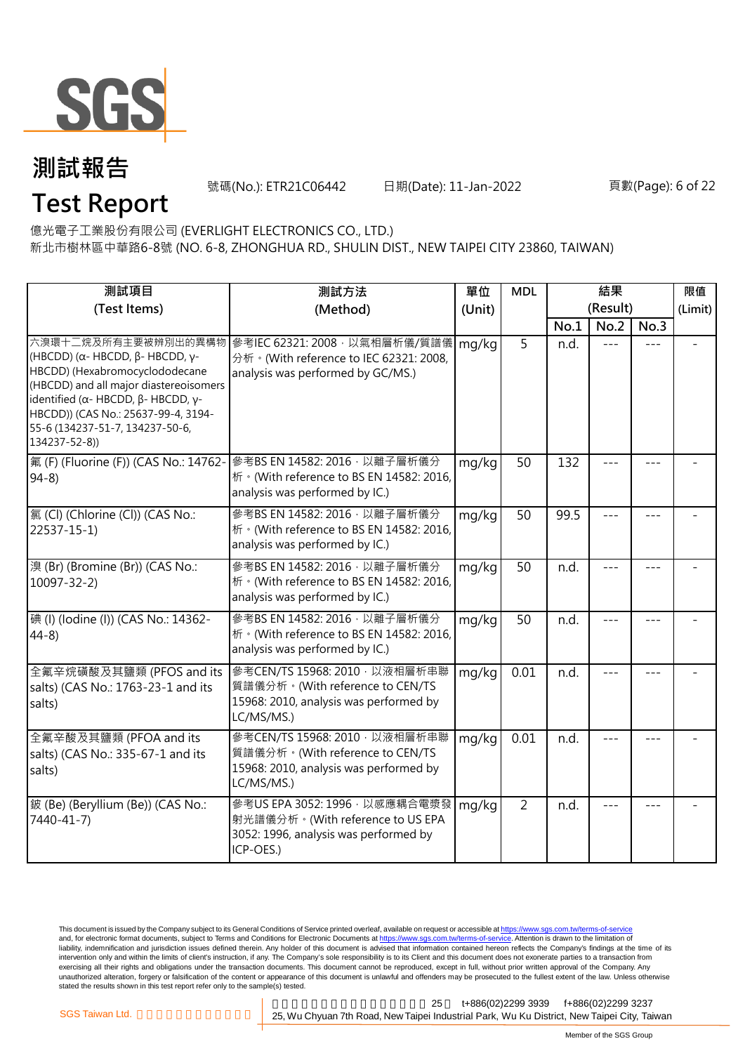

號碼(No.): ETR21C06442 日期(Date): 11-Jan-2022 頁數(Page): 6 of 22

億光電子工業股份有限公司 (EVERLIGHT ELECTRONICS CO., LTD.) **Test Report**

新北市樹林區中華路6-8號 (NO. 6-8, ZHONGHUA RD., SHULIN DIST., NEW TAIPEI CITY 23860, TAIWAN)

| 測試項目                                                                                                                                                                                                                                                                                | 測試方法                                                                                                                      | 單位     | <b>MDL</b>     | 結果       |       |         | 限值      |
|-------------------------------------------------------------------------------------------------------------------------------------------------------------------------------------------------------------------------------------------------------------------------------------|---------------------------------------------------------------------------------------------------------------------------|--------|----------------|----------|-------|---------|---------|
| (Test Items)                                                                                                                                                                                                                                                                        | (Method)                                                                                                                  | (Unit) |                | (Result) |       |         | (Limit) |
|                                                                                                                                                                                                                                                                                     |                                                                                                                           |        |                | No.1     | No.2  | No.3    |         |
| 六溴環十二烷及所有主要被辨別出的異構物<br>(HBCDD) ( $\alpha$ - HBCDD, $\beta$ - HBCDD, γ-<br>HBCDD) (Hexabromocyclododecane<br>(HBCDD) and all major diastereoisomers<br>identified (α- HBCDD, β- HBCDD, γ-<br>HBCDD)) (CAS No.: 25637-99-4, 3194-<br>55-6 (134237-51-7, 134237-50-6,<br>134237-52-8)) | 參考IEC 62321: 2008, 以氣相層析儀/質譜儀<br>分析 · (With reference to IEC 62321: 2008,<br>analysis was performed by GC/MS.)            | mg/kg  | 5              | n.d.     |       |         |         |
| 氟 (F) (Fluorine (F)) (CAS No.: 14762-<br>$94-8$                                                                                                                                                                                                                                     | 參考BS EN 14582: 2016 · 以離子層析儀分<br>析 · (With reference to BS EN 14582: 2016,<br>analysis was performed by IC.)              | mg/kg  | 50             | 132      |       |         |         |
| 氯(Cl) (Chlorine (Cl)) (CAS No.:<br>$22537 - 15 - 1$                                                                                                                                                                                                                                 | 參考BS EN 14582: 2016 · 以離子層析儀分<br>析 · (With reference to BS EN 14582: 2016,<br>analysis was performed by IC.)              | mg/kg  | 50             | 99.5     | $= -$ | $- - -$ |         |
| 溴 (Br) (Bromine (Br)) (CAS No.:<br>$10097 - 32 - 2$                                                                                                                                                                                                                                 | 參考BS EN 14582: 2016 · 以離子層析儀分<br>析 · (With reference to BS EN 14582: 2016,<br>analysis was performed by IC.)              | mg/kg  | 50             | n.d.     |       | $- - -$ |         |
| 碘 (I) (Iodine (I)) (CAS No.: 14362-<br>$44-8$                                                                                                                                                                                                                                       | 參考BS EN 14582: 2016 · 以離子層析儀分<br>桥 · (With reference to BS EN 14582: 2016,<br>analysis was performed by IC.)              | mg/kg  | 50             | n.d.     |       |         |         |
| 全氟辛烷磺酸及其鹽類 (PFOS and its<br>salts) (CAS No.: 1763-23-1 and its<br>salts)                                                                                                                                                                                                            | 參考CEN/TS 15968: 2010 · 以液相層析串聯<br>質譜儀分析。(With reference to CEN/TS<br>15968: 2010, analysis was performed by<br>LC/MS/MS.) | mg/kg  | 0.01           | n.d.     | $---$ | $- - -$ |         |
| 全氟辛酸及其鹽類 (PFOA and its<br>salts) (CAS No.: 335-67-1 and its<br>salts)                                                                                                                                                                                                               | 參考CEN/TS 15968: 2010 · 以液相層析串聯<br>質譜儀分析。(With reference to CEN/TS<br>15968: 2010, analysis was performed by<br>LC/MS/MS.) | mg/kg  | 0.01           | n.d.     |       |         |         |
| 鈹 (Be) (Beryllium (Be)) (CAS No.:<br>7440-41-7)                                                                                                                                                                                                                                     | 參考US EPA 3052: 1996, 以感應耦合電漿發<br>射光譜儀分析。(With reference to US EPA<br>3052: 1996, analysis was performed by<br>ICP-OES.)   | mg/kg  | $\overline{2}$ | n.d.     |       |         |         |

This document is issued by the Company subject to its General Conditions of Service printed overleaf, available on request or accessible at <u>https://www.sgs.com.tw/terms-of-service</u><br>and, for electronic format documents, su liability, indemnification and jurisdiction issues defined therein. Any holder of this document is advised that information contained hereon reflects the Company's findings at the time of its intervention only and within the limits of client's instruction, if any. The Company's sole responsibility is to its Client and this document does not exonerate parties to a transaction from exercising all their rights and obligations under the transaction documents. This document cannot be reproduced, except in full, without prior written approval of the Company. Any<br>unauthorized alteration, forgery or falsif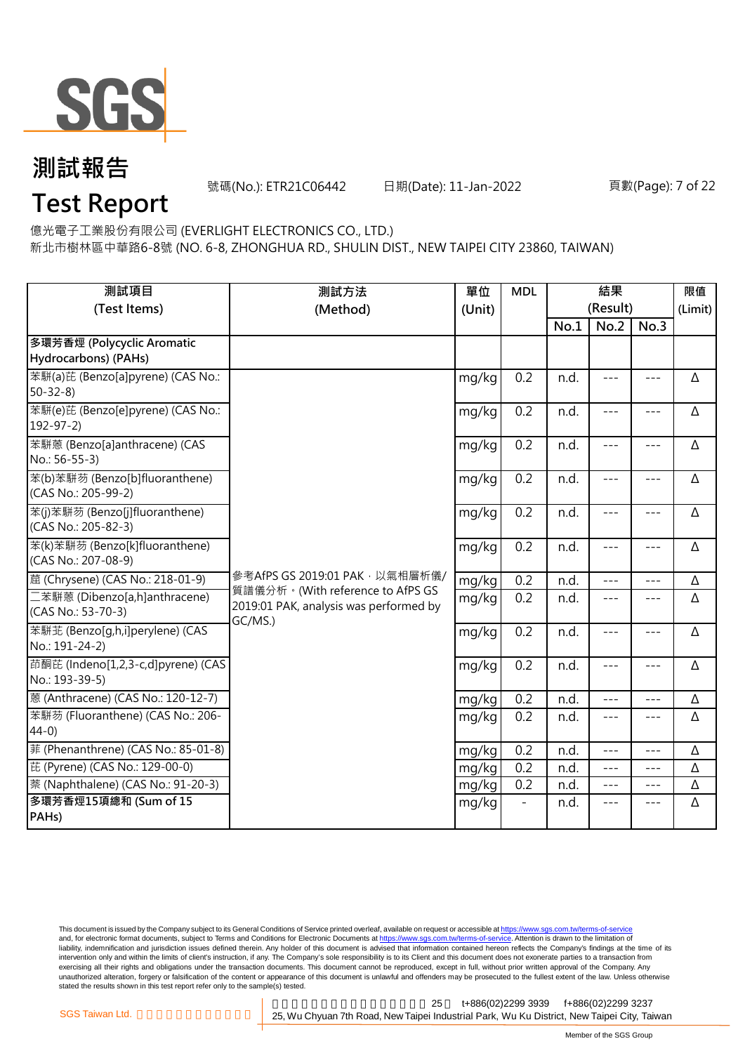

號碼(No.): ETR21C06442 日期(Date): 11-Jan-2022 頁數(Page): 7 of 22

## **Test Report**

億光電子工業股份有限公司 (EVERLIGHT ELECTRONICS CO., LTD.)

新北市樹林區中華路6-8號 (NO. 6-8, ZHONGHUA RD., SHULIN DIST., NEW TAIPEI CITY 23860, TAIWAN)

| 測試項目<br>(Test Items)                                  | 測試方法<br>(Method)                                                                      | 單位<br>(Unit) | <b>MDL</b> | 結果<br>(Result) |                     |                     | 限值<br>(Limit) |
|-------------------------------------------------------|---------------------------------------------------------------------------------------|--------------|------------|----------------|---------------------|---------------------|---------------|
|                                                       |                                                                                       |              |            | No.1           | No.2                | No.3                |               |
| 多環芳香烴 (Polycyclic Aromatic<br>Hydrocarbons) (PAHs)    |                                                                                       |              |            |                |                     |                     |               |
| 苯駢(a)芘 (Benzo[a]pyrene) (CAS No.:<br>$50 - 32 - 8$    |                                                                                       | mg/kg        | 0.2        | n.d.           | $\frac{1}{2}$       | $\frac{1}{2}$       | Δ             |
| 苯駢(e)芘 (Benzo[e]pyrene) (CAS No.:<br>$192 - 97 - 2$   |                                                                                       | mg/kg        | 0.2        | n.d.           | $---$               | $---$               | Δ             |
| 苯駢蒽 (Benzo[a]anthracene) (CAS<br>No.: 56-55-3)        |                                                                                       | mg/kg        | 0.2        | n.d.           | $---$               | $- - -$             | Δ             |
| 苯(b)苯駢芴 (Benzo[b]fluoranthene)<br>(CAS No.: 205-99-2) |                                                                                       | mg/kg        | 0.2        | n.d.           | $\qquad \qquad - -$ | $\qquad \qquad - -$ | Δ             |
| 苯(j)苯駢芴 (Benzo[j]fluoranthene)<br>(CAS No.: 205-82-3) |                                                                                       | mg/kg        | 0.2        | n.d.           | $---$               | $---$               | Δ             |
| 苯(k)苯駢芴 (Benzo[k]fluoranthene)<br>(CAS No.: 207-08-9) |                                                                                       | mg/kg        | 0.2        | n.d.           | $---$               | $---$               | Δ             |
| 蔰 (Chrysene) (CAS No.: 218-01-9)                      | 參考AfPS GS 2019:01 PAK · 以氣相層析儀/                                                       | mg/kg        | 0.2        | n.d.           | $- - -$             | $---$               | Δ             |
| 二苯駢蒽 (Dibenzo[a,h]anthracene)<br>(CAS No.: 53-70-3)   | 質譜儀分析。(With reference to AfPS GS<br>2019:01 PAK, analysis was performed by<br>GC/MS.) | mg/kg        | 0.2        | n.d.           | $\frac{1}{2}$       | $\frac{1}{2}$       | Δ             |
| 苯駢芷 (Benzo[q,h,i]perylene) (CAS<br>No.: 191-24-2)     |                                                                                       | mg/kg        | 0.2        | n.d.           | $- - -$             | $---$               | Δ             |
| 茚酮芘 (Indeno[1,2,3-c,d]pyrene) (CAS<br>No.: 193-39-5)  |                                                                                       | mg/kg        | 0.2        | n.d.           | $---$               | $- - -$             | Δ             |
| 蒽 (Anthracene) (CAS No.: 120-12-7)                    |                                                                                       | mg/kg        | 0.2        | n.d.           | $ -$                | ---                 | Δ             |
| 苯駢芴 (Fluoranthene) (CAS No.: 206-<br>$44-0$           |                                                                                       | mg/kg        | 0.2        | n.d.           | $- - -$             | $---$               | Δ             |
| 菲 (Phenanthrene) (CAS No.: 85-01-8)                   |                                                                                       | mg/kg        | 0.2        | n.d.           | $ -$                | $---$               | Δ             |
| 芘 (Pyrene) (CAS No.: 129-00-0)                        |                                                                                       | mg/kg        | 0.2        | n.d.           | $\frac{1}{2}$       | $\frac{1}{2}$       | Δ             |
| 萘 (Naphthalene) (CAS No.: 91-20-3)                    |                                                                                       | mg/kg        | 0.2        | n.d.           | $\frac{1}{2}$       | $---$               | Δ             |
| 多環芳香烴15項總和 (Sum of 15<br>PAH <sub>s</sub> )           |                                                                                       | mg/kg        |            | n.d.           | $---$               | $---$               | Δ             |

This document is issued by the Company subject to its General Conditions of Service printed overleaf, available on request or accessible at <u>https://www.sgs.com.tw/terms-of-service</u><br>and, for electronic format documents, su liability, indemnification and jurisdiction issues defined therein. Any holder of this document is advised that information contained hereon reflects the Company's findings at the time of its intervention only and within the limits of client's instruction, if any. The Company's sole responsibility is to its Client and this document does not exonerate parties to a transaction from exercising all their rights and obligations under the transaction documents. This document cannot be reproduced, except in full, without prior written approval of the Company. Any<br>unauthorized alteration, forgery or falsif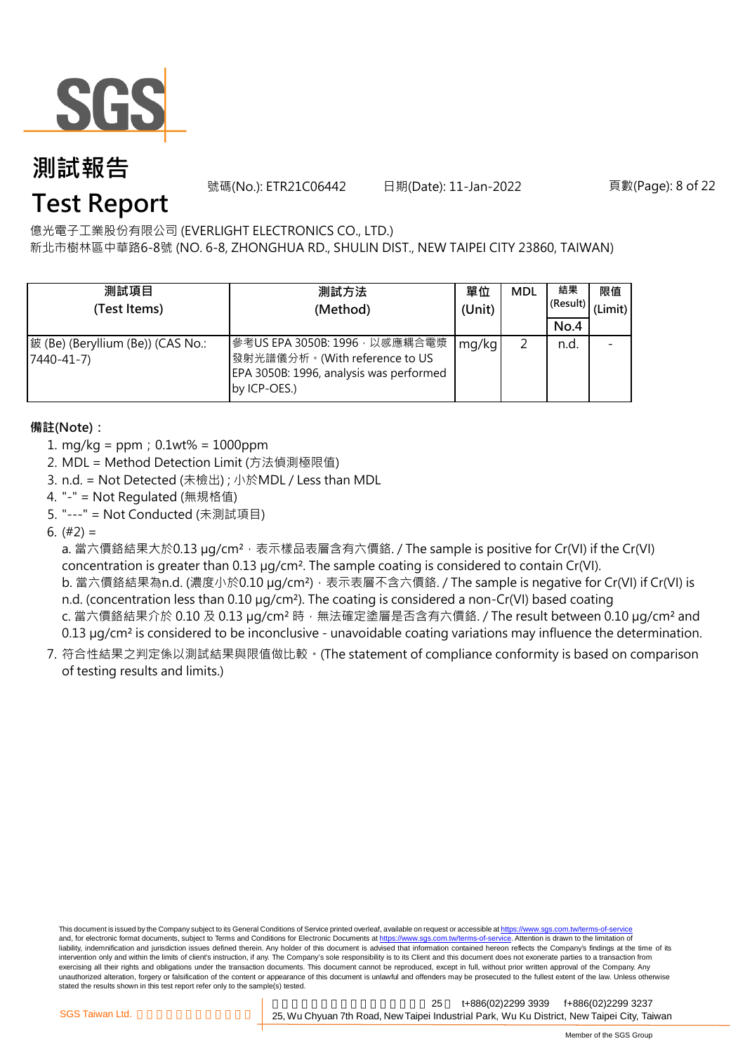

號碼(No.): ETR21C06442 日期(Date): 11-Jan-2022 頁數(Page): 8 of 22

## **Test Report**

億光電子工業股份有限公司 (EVERLIGHT ELECTRONICS CO., LTD.)

新北市樹林區中華路6-8號 (NO. 6-8, ZHONGHUA RD., SHULIN DIST., NEW TAIPEI CITY 23860, TAIWAN)

| 測試項目<br>(Test Items)                            | 測試方法<br>(Method)                                                                                                          | 單位<br>(Unit) | <b>MDL</b> | 結果<br>(Result)<br>No.4 | 限值<br>(Limit) |
|-------------------------------------------------|---------------------------------------------------------------------------------------------------------------------------|--------------|------------|------------------------|---------------|
| 鈹 (Be) (Beryllium (Be)) (CAS No.:<br>7440-41-7) | 參考US EPA 3050B: 1996, 以感應耦合電漿<br>發射光譜儀分析。(With reference to US<br>EPA 3050B: 1996, analysis was performed<br>by ICP-OES.) | mg/kg        |            | n.d.                   |               |

### **備註(Note):**

- 1. mg/kg = ppm;0.1wt% = 1000ppm
- 2. MDL = Method Detection Limit (方法偵測極限值)
- 3. n.d. = Not Detected (未檢出) ; 小於MDL / Less than MDL
- 4. "-" = Not Regulated (無規格值)
- 5. "---" = Not Conducted (未測試項目)

6.  $(#2) =$ 

a. 當六價鉻結果大於0.13 µg/cm<sup>2,</sup> 表示樣品表層含有六價鉻. / The sample is positive for Cr(VI) if the Cr(VI) concentration is greater than 0.13 µg/cm². The sample coating is considered to contain Cr(VI).

b. 當六價鉻結果為n.d. (濃度小於0.10 μg/cm²),表示表層不含六價鉻. / The sample is negative for Cr(VI) if Cr(VI) is n.d. (concentration less than 0.10 µg/cm<sup>2</sup>). The coating is considered a non-Cr(VI) based coating

- c. 當六價鉻結果介於 0.10 及 0.13 µg/cm<sup>2</sup> 時, 無法確定塗層是否含有六價鉻. / The result between 0.10 µg/cm<sup>2</sup> and 0.13 µg/cm<sup>2</sup> is considered to be inconclusive - unavoidable coating variations may influence the determination.
- 7. 符合性結果之判定係以測試結果與限值做比較。(The statement of compliance conformity is based on comparison of testing results and limits.)

This document is issued by the Company subject to its General Conditions of Service printed overleaf, available on request or accessible at https://www.sgs.com.tw/terms-of-service and, for electronic format documents, subject to Terms and Conditions for Electronic Documents at https://www.sgs.com.tw/terms-of-service. Attention is drawn to the limitation of liability, indemnification and jurisdiction issues defined therein. Any holder of this document is advised that information contained hereon reflects the Company's findings at the time of its intervention only and within the limits of client's instruction, if any. The Company's sole responsibility is to its Client and this document does not exonerate parties to a transaction from exercising all their rights and obligations under the transaction documents. This document cannot be reproduced, except in full, without prior written approval of the Company. Any<br>unauthorized alteration, forgery or falsif stated the results shown in this test report refer only to the sample(s) tested.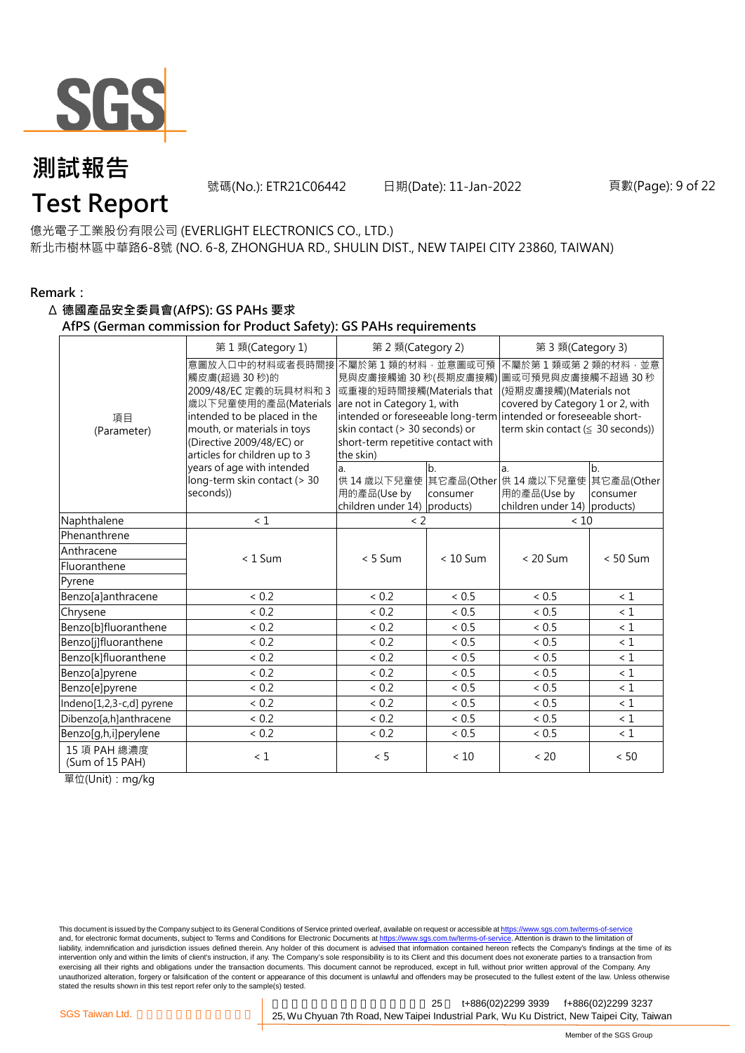

號碼(No.): ETR21C06442 日期(Date): 11-Jan-2022 頁數(Page): 9 of 22

## **Test Report**

億光電子工業股份有限公司 (EVERLIGHT ELECTRONICS CO., LTD.) 新北市樹林區中華路6-8號 (NO. 6-8, ZHONGHUA RD., SHULIN DIST., NEW TAIPEI CITY 23860, TAIWAN)

### **Remark:**

### Δ **德國產品安全委員會(AfPS): GS PAHs 要求**

**AfPS (German commission for Product Safety): GS PAHs requirements**

|                                 | 第1類(Category 1)                                                                                                                                                                                              | 第 2 類(Category 2)                                                                                                                                                |                            | 第 3 類(Category 3)                                                                                                                                                                                                                        |                                          |  |  |
|---------------------------------|--------------------------------------------------------------------------------------------------------------------------------------------------------------------------------------------------------------|------------------------------------------------------------------------------------------------------------------------------------------------------------------|----------------------------|------------------------------------------------------------------------------------------------------------------------------------------------------------------------------------------------------------------------------------------|------------------------------------------|--|--|
| 項目<br>(Parameter)               | 意圖放入口中的材料或者長時間接<br>觸皮膚(超過30秒)的<br>2009/48/EC 定義的玩具材料和 3<br>歲以下兒童使用的產品(Materials<br>intended to be placed in the<br>mouth, or materials in toys<br>(Directive 2009/48/EC) or<br>articles for children up to 3 | 不屬於第1類的材料,並意圖或可預<br>或重複的短時間接觸(Materials that<br>are not in Category 1, with<br>skin contact (> 30 seconds) or<br>short-term repetitive contact with<br>the skin) |                            | 不屬於第1類或第2類的材料,並意<br>見與皮膚接觸逾 30 秒(長期皮膚接觸) 圖或可預見與皮膚接觸不超過 30 秒<br>(短期皮膚接觸)(Materials not<br>covered by Category 1 or 2, with<br>intended or foreseeable long-term intended or foreseeable short-<br>term skin contact ( $\leq$ 30 seconds)) |                                          |  |  |
|                                 | years of age with intended<br>long-term skin contact (> 30<br>seconds))                                                                                                                                      | a.<br>用的產品(Use by<br>children under 14) products)                                                                                                                | b <sub>1</sub><br>consumer | la.<br>供 14 歳以下兒童使 其它產品(Other 供 14 歳以下兒童使<br>用的產品(Use by<br>children under 14) products)                                                                                                                                                 | b <sub>1</sub><br>其它產品(Other<br>consumer |  |  |
| Naphthalene                     | < 1                                                                                                                                                                                                          | $\langle$ 2                                                                                                                                                      |                            | < 10                                                                                                                                                                                                                                     |                                          |  |  |
| Phenanthrene                    |                                                                                                                                                                                                              |                                                                                                                                                                  |                            |                                                                                                                                                                                                                                          |                                          |  |  |
| Anthracene                      | $< 1$ Sum                                                                                                                                                                                                    | $< 5$ Sum                                                                                                                                                        | $< 10$ Sum                 | $< 20$ Sum                                                                                                                                                                                                                               | $< 50$ Sum                               |  |  |
| Fluoranthene                    |                                                                                                                                                                                                              |                                                                                                                                                                  |                            |                                                                                                                                                                                                                                          |                                          |  |  |
| Pyrene                          |                                                                                                                                                                                                              |                                                                                                                                                                  |                            |                                                                                                                                                                                                                                          |                                          |  |  |
| Benzo[a]anthracene              | < 0.2                                                                                                                                                                                                        | < 0.2                                                                                                                                                            | < 0.5                      | < 0.5                                                                                                                                                                                                                                    | $\leq 1$                                 |  |  |
| Chrysene                        | < 0.2                                                                                                                                                                                                        | < 0.2                                                                                                                                                            | $< 0.5$                    | < 0.5                                                                                                                                                                                                                                    | $\leq 1$                                 |  |  |
| Benzo[b]fluoranthene            | < 0.2                                                                                                                                                                                                        | < 0.2                                                                                                                                                            | < 0.5                      | < 0.5                                                                                                                                                                                                                                    | $\leq 1$                                 |  |  |
| Benzo[j]fluoranthene            | < 0.2                                                                                                                                                                                                        | < 0.2                                                                                                                                                            | ~< 0.5                     | < 0.5                                                                                                                                                                                                                                    | $\leq 1$                                 |  |  |
| Benzo[k]fluoranthene            | < 0.2                                                                                                                                                                                                        | < 0.2                                                                                                                                                            | < 0.5                      | < 0.5                                                                                                                                                                                                                                    | < 1                                      |  |  |
| Benzo[a]pyrene                  | < 0.2                                                                                                                                                                                                        | < 0.2                                                                                                                                                            | ~< 0.5                     | < 0.5                                                                                                                                                                                                                                    | $\leq 1$                                 |  |  |
| Benzo[e]pyrene                  | < 0.2                                                                                                                                                                                                        | < 0.2                                                                                                                                                            | < 0.5                      | < 0.5                                                                                                                                                                                                                                    | < 1                                      |  |  |
| Indeno[1,2,3-c,d] pyrene        | < 0.2                                                                                                                                                                                                        | < 0.2                                                                                                                                                            | < 0.5                      | < 0.5                                                                                                                                                                                                                                    | $\leq 1$                                 |  |  |
| Dibenzo[a,h]anthracene          | < 0.2                                                                                                                                                                                                        | < 0.2                                                                                                                                                            | < 0.5                      | ~< 0.5                                                                                                                                                                                                                                   | < 1                                      |  |  |
| Benzo[g,h,i]perylene            | ${}< 0.2$                                                                                                                                                                                                    | < 0.2                                                                                                                                                            | ${}< 0.5$                  | ${}< 0.5$                                                                                                                                                                                                                                | $\leq 1$                                 |  |  |
| 15 項 PAH 總濃度<br>(Sum of 15 PAH) | < 1                                                                                                                                                                                                          | < 5                                                                                                                                                              | < 10                       | < 20                                                                                                                                                                                                                                     | $< 50$                                   |  |  |

單位(Unit):mg/kg

This document is issued by the Company subject to its General Conditions of Service printed overleaf, available on request or accessible at https://www.sgs.com.tw/terms-of-service and, for electronic format documents, subject to Terms and Conditions for Electronic Documents at https://www.sgs.com.tw/terms-of-service. Attention is drawn to the limitation of liability, indemnification and jurisdiction issues defined therein. Any holder of this document is advised that information contained hereon reflects the Company's findings at the time of its intervention only and within the limits of client's instruction, if any. The Company's sole responsibility is to its Client and this document does not exonerate parties to a transaction from exercising all their rights and obligations under the transaction documents. This document cannot be reproduced, except in full, without prior written approval of the Company. Any<br>unauthorized alteration, forgery or falsif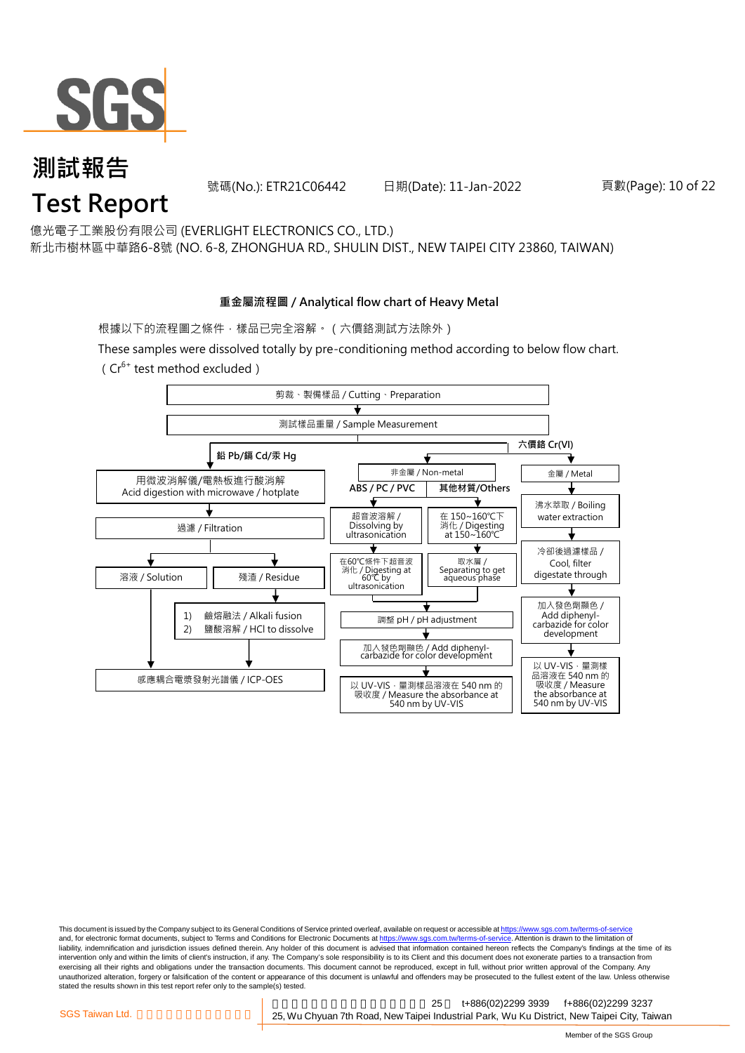

## 號碼(No.): ETR21C06442 日期(Date): 11-Jan-2022 頁數(Page): 10 of 22 **測試報告 Test Report**

億光電子工業股份有限公司 (EVERLIGHT ELECTRONICS CO., LTD.) 新北市樹林區中華路6-8號 (NO. 6-8, ZHONGHUA RD., SHULIN DIST., NEW TAIPEI CITY 23860, TAIWAN)

### **重金屬流程圖 / Analytical flow chart of Heavy Metal**

根據以下的流程圖之條件,樣品已完全溶解。(六價鉻測試方法除外)

These samples were dissolved totally by pre-conditioning method according to below flow chart.  $(Cr^{6+}$  test method excluded)



This document is issued by the Company subject to its General Conditions of Service printed overleaf, available on request or accessible at https://www.sgs.com.tw/terms-of-service and, for electronic format documents, subject to Terms and Conditions for Electronic Documents at https://www.sgs.com.tw/terms-of-service. Attention is drawn to the limitation of liability, indemnification and jurisdiction issues defined therein. Any holder of this document is advised that information contained hereon reflects the Company's findings at the time of its intervention only and within the limits of client's instruction, if any. The Company's sole responsibility is to its Client and this document does not exonerate parties to a transaction from exercising all their rights and obligations under the transaction documents. This document cannot be reproduced, except in full, without prior written approval of the Company. Any<br>unauthorized alteration, forgery or falsif stated the results shown in this test report refer only to the sample(s) tested.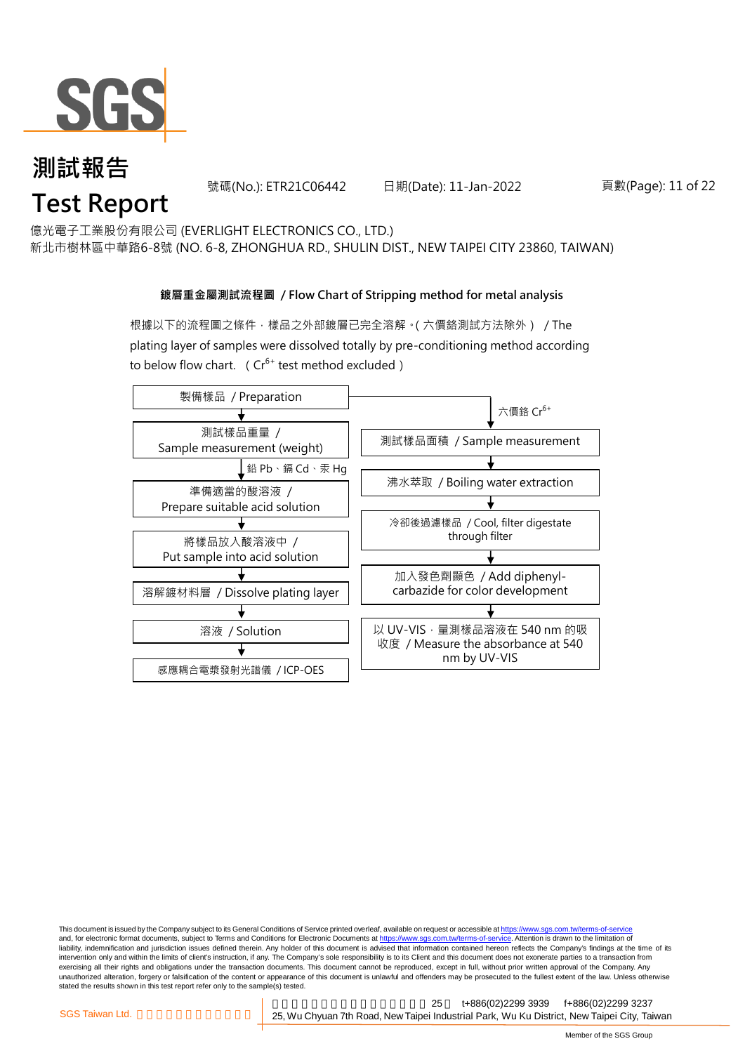

號碼(No.): ETR21C06442 日期(Date): 11-Jan-2022 頁數(Page): 11 of 22

億光電子工業股份有限公司 (EVERLIGHT ELECTRONICS CO., LTD.)

新北市樹林區中華路6-8號 (NO. 6-8, ZHONGHUA RD., SHULIN DIST., NEW TAIPEI CITY 23860, TAIWAN)

### **鍍層重金屬測試流程圖 / Flow Chart of Stripping method for metal analysis**

根據以下的流程圖之條件,樣品之外部鍍層已完全溶解。(六價鉻測試方法除外) / The plating layer of samples were dissolved totally by pre-conditioning method according to below flow chart. ( $Cr^{6+}$  test method excluded)



This document is issued by the Company subject to its General Conditions of Service printed overleaf, available on request or accessible at https://www.sgs.com.tw/terms-of-service and, for electronic format documents, subject to Terms and Conditions for Electronic Documents at https://www.sgs.com.tw/terms-of-service. Attention is drawn to the limitation of liability, indemnification and jurisdiction issues defined therein. Any holder of this document is advised that information contained hereon reflects the Company's findings at the time of its intervention only and within the limits of client's instruction, if any. The Company's sole responsibility is to its Client and this document does not exonerate parties to a transaction from exercising all their rights and obligations under the transaction documents. This document cannot be reproduced, except in full, without prior written approval of the Company. Any<br>unauthorized alteration, forgery or falsif stated the results shown in this test report refer only to the sample(s) tested.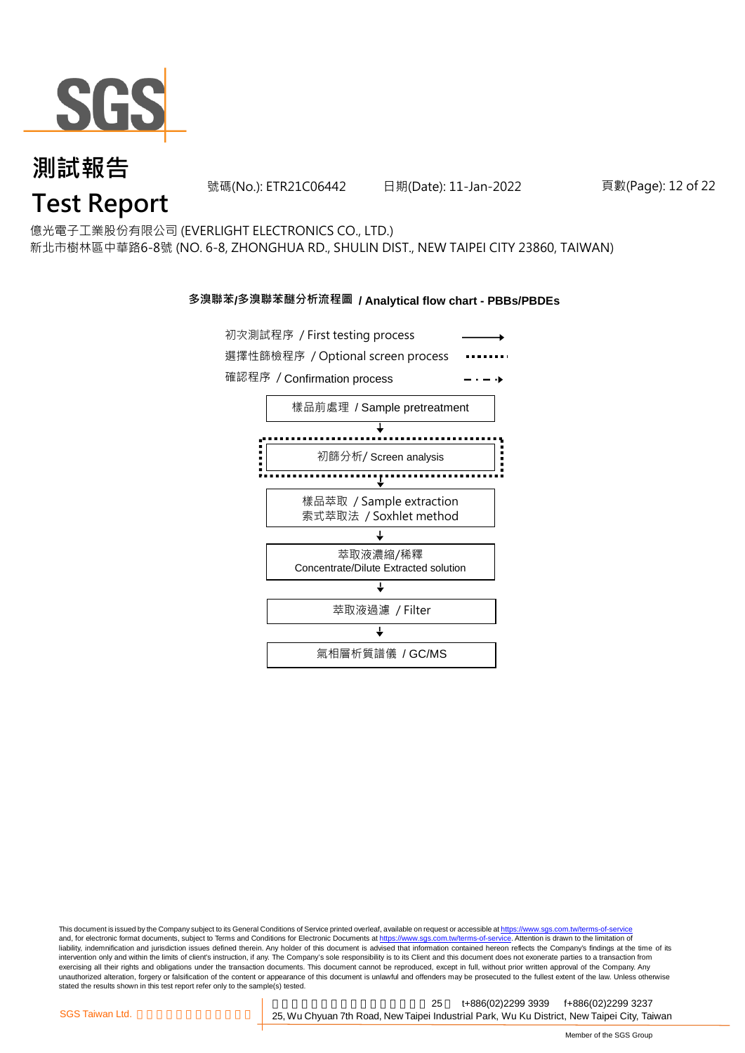

號碼(No.): ETR21C06442 日期(Date): 11-Jan-2022 頁數(Page): 12 of 22

億光電子工業股份有限公司 (EVERLIGHT ELECTRONICS CO., LTD.) 新北市樹林區中華路6-8號 (NO. 6-8, ZHONGHUA RD., SHULIN DIST., NEW TAIPEI CITY 23860, TAIWAN)

### **多溴聯苯/多溴聯苯醚分析流程圖 / Analytical flow chart - PBBs/PBDEs**



This document is issued by the Company subject to its General Conditions of Service printed overleaf, available on request or accessible at https://www.sgs.com.tw/terms-of-service and, for electronic format documents, subject to Terms and Conditions for Electronic Documents at https://www.sgs.com.tw/terms-of-service. Attention is drawn to the limitation of liability, indemnification and jurisdiction issues defined therein. Any holder of this document is advised that information contained hereon reflects the Company's findings at the time of its intervention only and within the limits of client's instruction, if any. The Company's sole responsibility is to its Client and this document does not exonerate parties to a transaction from exercising all their rights and obligations under the transaction documents. This document cannot be reproduced, except in full, without prior written approval of the Company. Any<br>unauthorized alteration, forgery or falsif stated the results shown in this test report refer only to the sample(s) tested.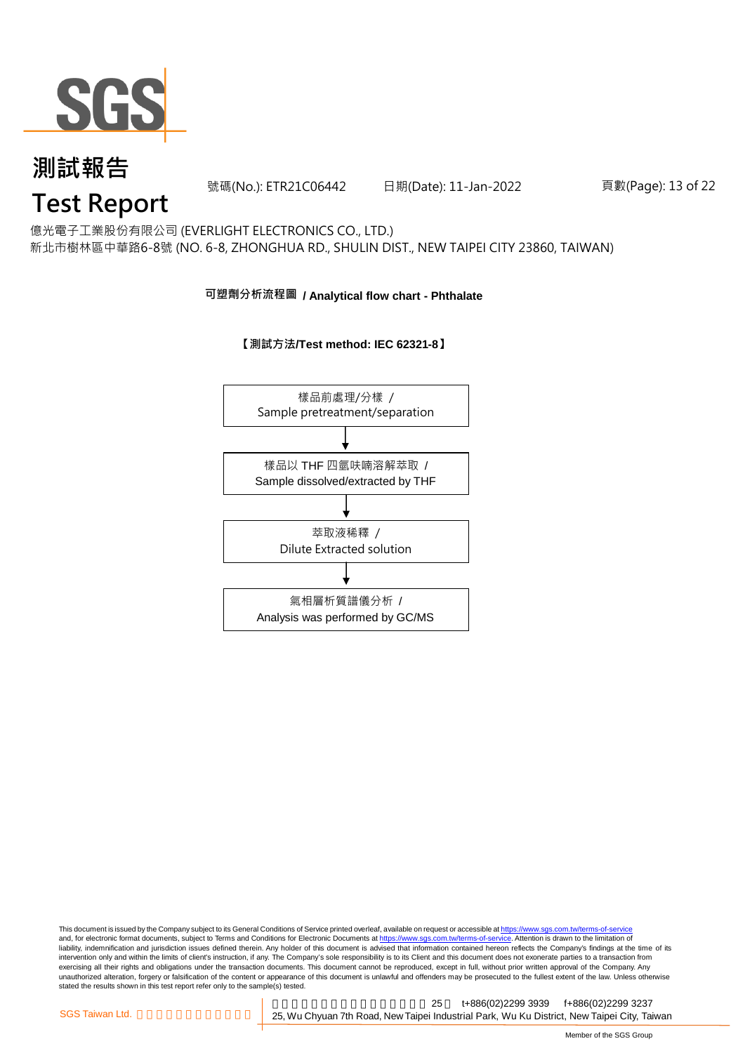

號碼(No.): ETR21C06442 日期(Date): 11-Jan-2022 頁數(Page): 13 of 22

## **Test Report**

億光電子工業股份有限公司 (EVERLIGHT ELECTRONICS CO., LTD.) 新北市樹林區中華路6-8號 (NO. 6-8, ZHONGHUA RD., SHULIN DIST., NEW TAIPEI CITY 23860, TAIWAN)

### **可塑劑分析流程圖 / Analytical flow chart - Phthalate**





This document is issued by the Company subject to its General Conditions of Service printed overleaf, available on request or accessible at <u>https://www.sgs.com.tw/terms-of-service</u><br>and, for electronic format documents, su liability, indemnification and jurisdiction issues defined therein. Any holder of this document is advised that information contained hereon reflects the Company's findings at the time of its intervention only and within the limits of client's instruction, if any. The Company's sole responsibility is to its Client and this document does not exonerate parties to a transaction from exercising all their rights and obligations under the transaction documents. This document cannot be reproduced, except in full, without prior written approval of the Company. Any<br>unauthorized alteration, forgery or falsif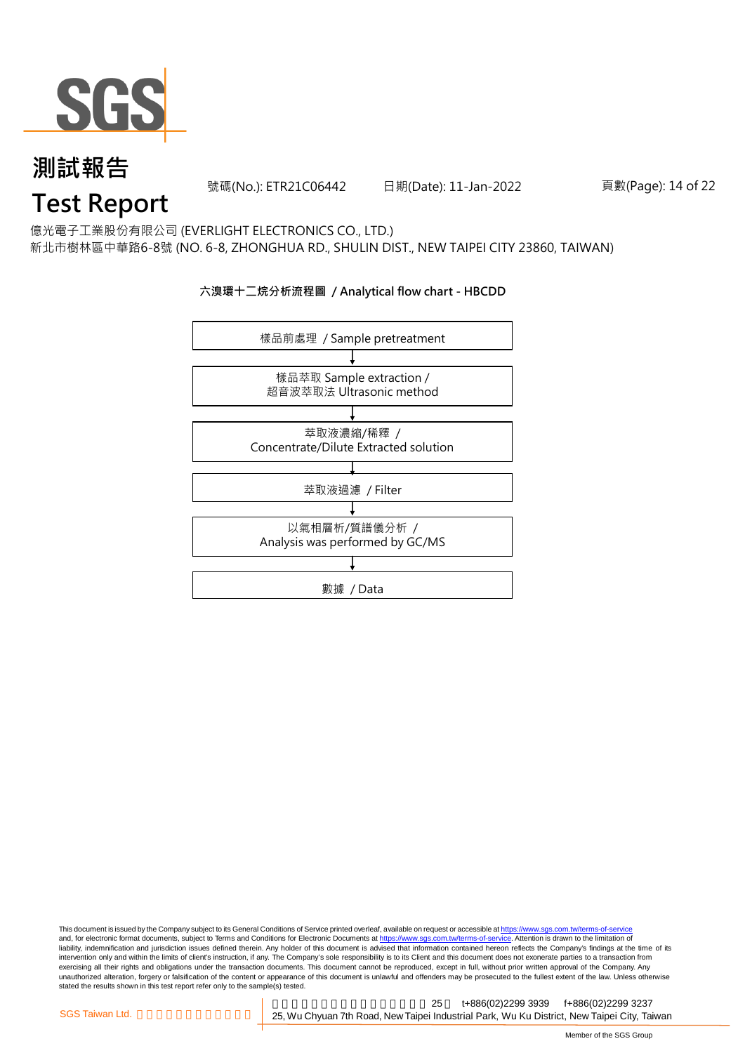

號碼(No.): ETR21C06442 日期(Date): 11-Jan-2022 頁數(Page): 14 of 22

## **Test Report**

億光電子工業股份有限公司 (EVERLIGHT ELECTRONICS CO., LTD.) 新北市樹林區中華路6-8號 (NO. 6-8, ZHONGHUA RD., SHULIN DIST., NEW TAIPEI CITY 23860, TAIWAN)

### **六溴環十二烷分析流程圖 / Analytical flow chart - HBCDD**



This document is issued by the Company subject to its General Conditions of Service printed overleaf, available on request or accessible at <u>https://www.sgs.com.tw/terms-of-service</u><br>and, for electronic format documents, su liability, indemnification and jurisdiction issues defined therein. Any holder of this document is advised that information contained hereon reflects the Company's findings at the time of its intervention only and within the limits of client's instruction, if any. The Company's sole responsibility is to its Client and this document does not exonerate parties to a transaction from exercising all their rights and obligations under the transaction documents. This document cannot be reproduced, except in full, without prior written approval of the Company. Any<br>unauthorized alteration, forgery or falsif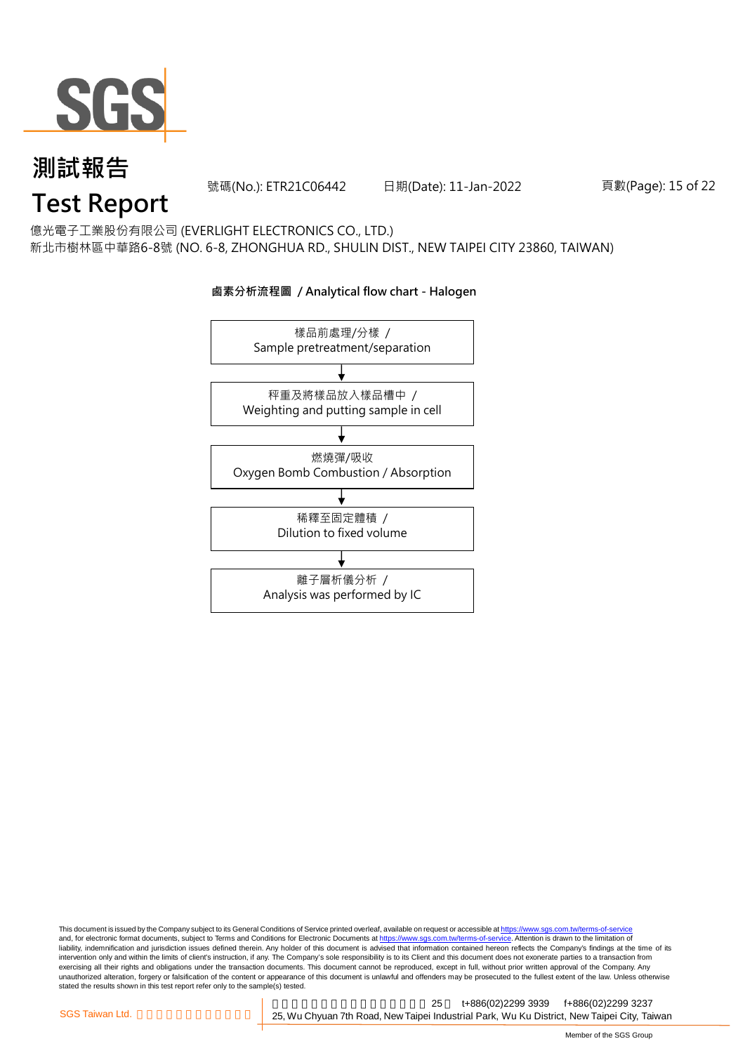

號碼(No.): ETR21C06442 日期(Date): 11-Jan-2022 頁數(Page): 15 of 22

## **Test Report**

億光電子工業股份有限公司 (EVERLIGHT ELECTRONICS CO., LTD.) 新北市樹林區中華路6-8號 (NO. 6-8, ZHONGHUA RD., SHULIN DIST., NEW TAIPEI CITY 23860, TAIWAN)



### **鹵素分析流程圖 / Analytical flow chart - Halogen**

This document is issued by the Company subject to its General Conditions of Service printed overleaf, available on request or accessible at <u>https://www.sgs.com.tw/terms-of-service</u><br>and, for electronic format documents, su liability, indemnification and jurisdiction issues defined therein. Any holder of this document is advised that information contained hereon reflects the Company's findings at the time of its intervention only and within the limits of client's instruction, if any. The Company's sole responsibility is to its Client and this document does not exonerate parties to a transaction from exercising all their rights and obligations under the transaction documents. This document cannot be reproduced, except in full, without prior written approval of the Company. Any<br>unauthorized alteration, forgery or falsif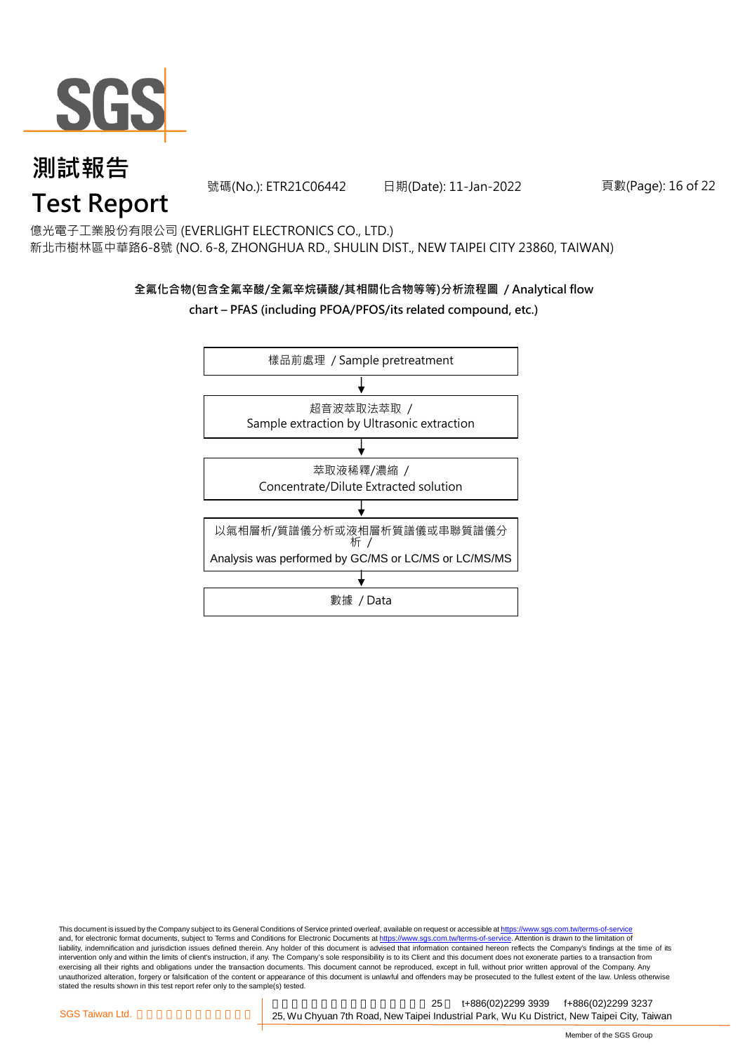

號碼(No.): ETR21C06442 日期(Date): 11-Jan-2022 頁數(Page): 16 of 22

# **Test Report**

億光電子工業股份有限公司 (EVERLIGHT ELECTRONICS CO., LTD.) 新北市樹林區中華路6-8號 (NO. 6-8, ZHONGHUA RD., SHULIN DIST., NEW TAIPEI CITY 23860, TAIWAN)

## **全氟化合物(包含全氟辛酸/全氟辛烷磺酸/其相關化合物等等)分析流程圖 / Analytical flow chart – PFAS (including PFOA/PFOS/its related compound, etc.)**



This document is issued by the Company subject to its General Conditions of Service printed overleaf, available on request or accessible at https://www.sgs.com.tw/terms-of-service and, for electronic format documents, subject to Terms and Conditions for Electronic Documents at https://www.sgs.com.tw/terms-of-service. Attention is drawn to the limitation of liability, indemnification and jurisdiction issues defined therein. Any holder of this document is advised that information contained hereon reflects the Company's findings at the time of its intervention only and within the limits of client's instruction, if any. The Company's sole responsibility is to its Client and this document does not exonerate parties to a transaction from exercising all their rights and obligations under the transaction documents. This document cannot be reproduced, except in full, without prior written approval of the Company. Any<br>unauthorized alteration, forgery or falsif stated the results shown in this test report refer only to the sample(s) tested.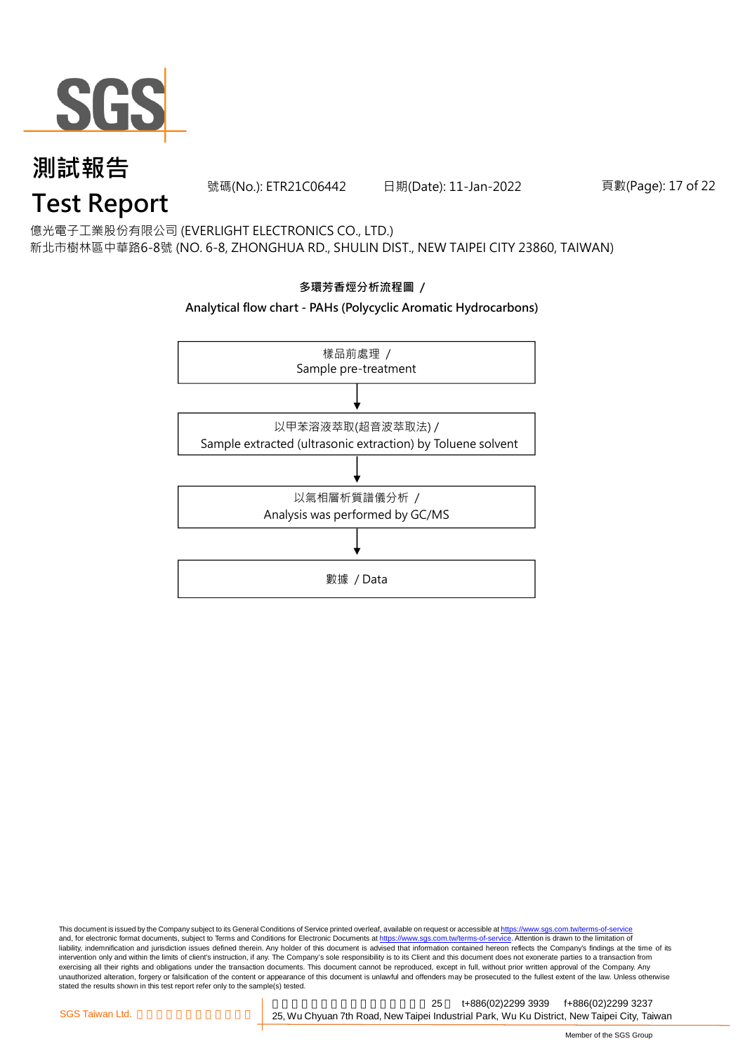

號碼(No.): ETR21C06442 日期(Date): 11-Jan-2022 頁數(Page): 17 of 22

## **Test Report**

億光電子工業股份有限公司 (EVERLIGHT ELECTRONICS CO., LTD.) 新北市樹林區中華路6-8號 (NO. 6-8, ZHONGHUA RD., SHULIN DIST., NEW TAIPEI CITY 23860, TAIWAN)



This document is issued by the Company subject to its General Conditions of Service printed overleaf, available on request or accessible at <u>https://www.sgs.com.tw/terms-of-service</u><br>and, for electronic format documents, su liability, indemnification and jurisdiction issues defined therein. Any holder of this document is advised that information contained hereon reflects the Company's findings at the time of its intervention only and within the limits of client's instruction, if any. The Company's sole responsibility is to its Client and this document does not exonerate parties to a transaction from exercising all their rights and obligations under the transaction documents. This document cannot be reproduced, except in full, without prior written approval of the Company. Any<br>unauthorized alteration, forgery or falsif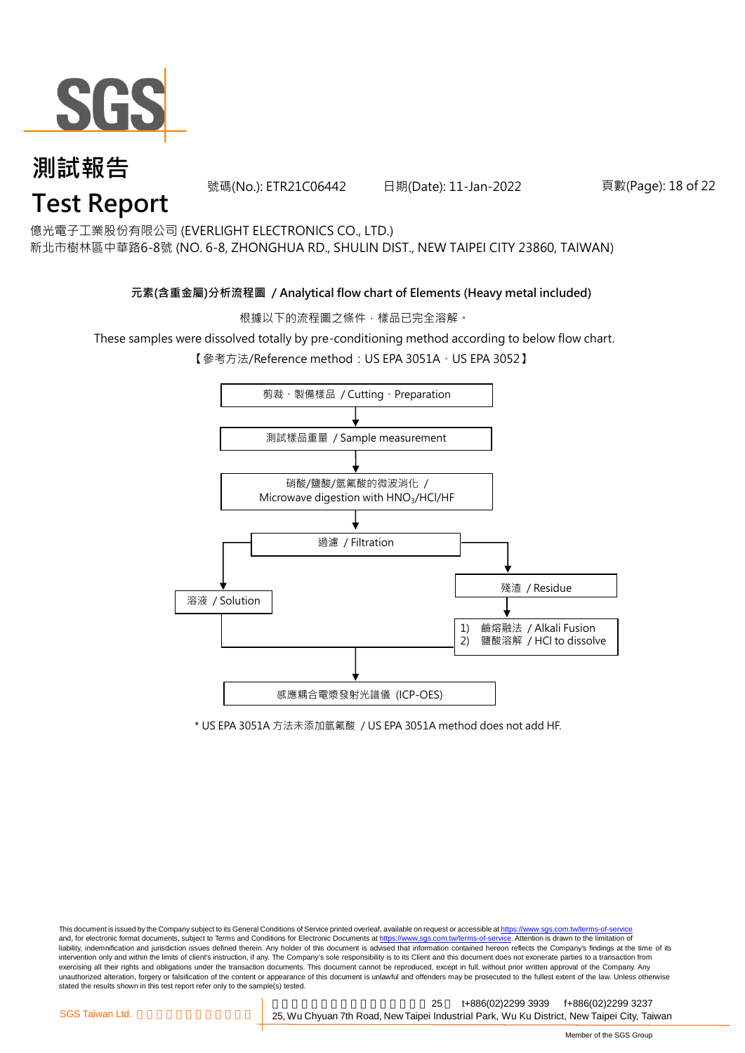

號碼(No.): ETR21C06442 日期(Date): 11-Jan-2022 頁數(Page): 18 of 22

億光電子工業股份有限公司 (EVERLIGHT ELECTRONICS CO., LTD.)

新北市樹林區中華路6-8號 (NO. 6-8, ZHONGHUA RD., SHULIN DIST., NEW TAIPEI CITY 23860, TAIWAN)

### **元素(含重金屬)分析流程圖 / Analytical flow chart of Elements (Heavy metal included)**

根據以下的流程圖之條件,樣品已完全溶解。

These samples were dissolved totally by pre-conditioning method according to below flow chart.

【參考方法/Reference method: US EPA 3051A、US EPA 3052】



\* US EPA 3051A 方法未添加氫氟酸 / US EPA 3051A method does not add HF.

This document is issued by the Company subject to its General Conditions of Service printed overleaf, available on request or accessible at https://www.sgs.com.tw/terms-of-service and, for electronic format documents, subject to Terms and Conditions for Electronic Documents at https://www.sgs.com.tw/terms-of-service. Attention is drawn to the limitation of liability, indemnification and jurisdiction issues defined therein. Any holder of this document is advised that information contained hereon reflects the Company's findings at the time of its intervention only and within the limits of client's instruction, if any. The Company's sole responsibility is to its Client and this document does not exonerate parties to a transaction from exercising all their rights and obligations under the transaction documents. This document cannot be reproduced, except in full, without prior written approval of the Company. Any<br>unauthorized alteration, forgery or falsif stated the results shown in this test report refer only to the sample(s) tested.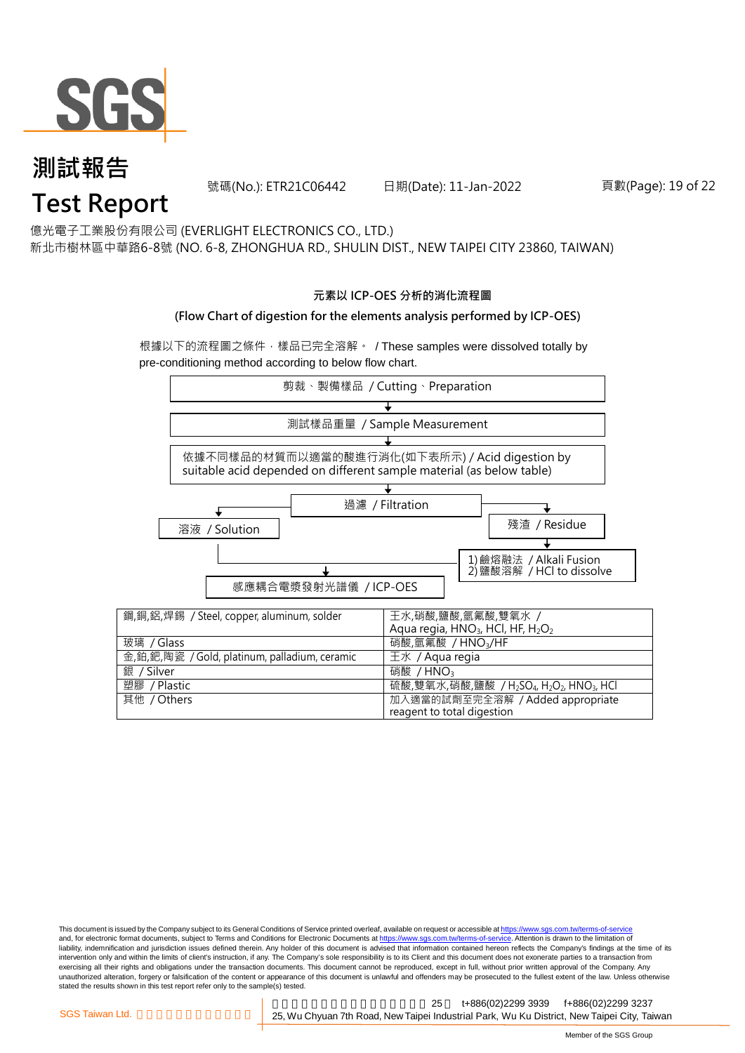

號碼(No.): ETR21C06442 日期(Date): 11-Jan-2022 頁數(Page): 19 of 22

億光電子工業股份有限公司 (EVERLIGHT ELECTRONICS CO., LTD.)

新北市樹林區中華路6-8號 (NO. 6-8, ZHONGHUA RD., SHULIN DIST., NEW TAIPEI CITY 23860, TAIWAN)

### **元素以 ICP-OES 分析的消化流程圖**

### **(Flow Chart of digestion for the elements analysis performed by ICP-OES)**

根據以下的流程圖之條件,樣品已完全溶解。 / These samples were dissolved totally by pre-conditioning method according to below flow chart.



This document is issued by the Company subject to its General Conditions of Service printed overleaf, available on request or accessible at https://www.sgs.com.tw/terms-of-service and, for electronic format documents, subject to Terms and Conditions for Electronic Documents at https://www.sgs.com.tw/terms-of-service. Attention is drawn to the limitation of liability, indemnification and jurisdiction issues defined therein. Any holder of this document is advised that information contained hereon reflects the Company's findings at the time of its intervention only and within the limits of client's instruction, if any. The Company's sole responsibility is to its Client and this document does not exonerate parties to a transaction from exercising all their rights and obligations under the transaction documents. This document cannot be reproduced, except in full, without prior written approval of the Company. Any<br>unauthorized alteration, forgery or falsif stated the results shown in this test report refer only to the sample(s) tested.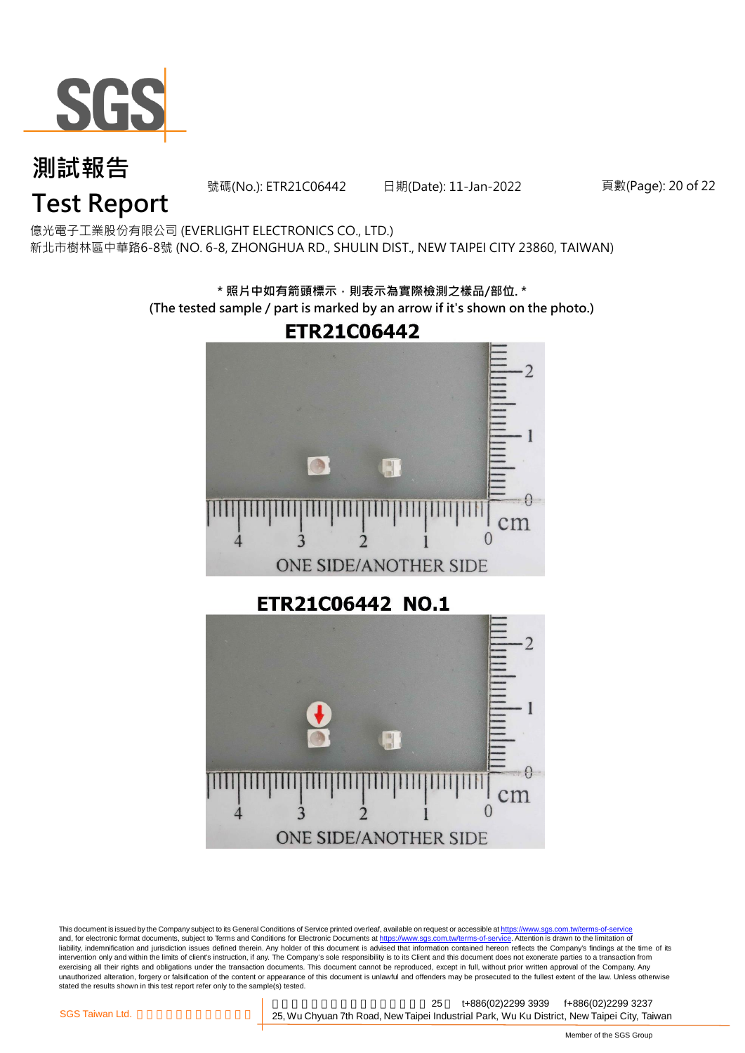

號碼(No.): ETR21C06442 日期(Date): 11-Jan-2022 頁數(Page): 20 of 22

# **Test Report**

億光電子工業股份有限公司 (EVERLIGHT ELECTRONICS CO., LTD.) 新北市樹林區中華路6-8號 (NO. 6-8, ZHONGHUA RD., SHULIN DIST., NEW TAIPEI CITY 23860, TAIWAN)

> **\* 照片中如有箭頭標示,則表示為實際檢測之樣品/部位. \* (The tested sample / part is marked by an arrow if it's shown on the photo.)**



ETR21C06442 NO.1



This document is issued by the Company subject to its General Conditions of Service printed overleaf, available on request or accessible at <u>https://www.sgs.com.tw/terms-of-service</u><br>and, for electronic format documents, su liability, indemnification and jurisdiction issues defined therein. Any holder of this document is advised that information contained hereon reflects the Company's findings at the time of its intervention only and within the limits of client's instruction, if any. The Company's sole responsibility is to its Client and this document does not exonerate parties to a transaction from exercising all their rights and obligations under the transaction documents. This document cannot be reproduced, except in full, without prior written approval of the Company. Any<br>unauthorized alteration, forgery or falsif stated the results shown in this test report refer only to the sample(s) tested.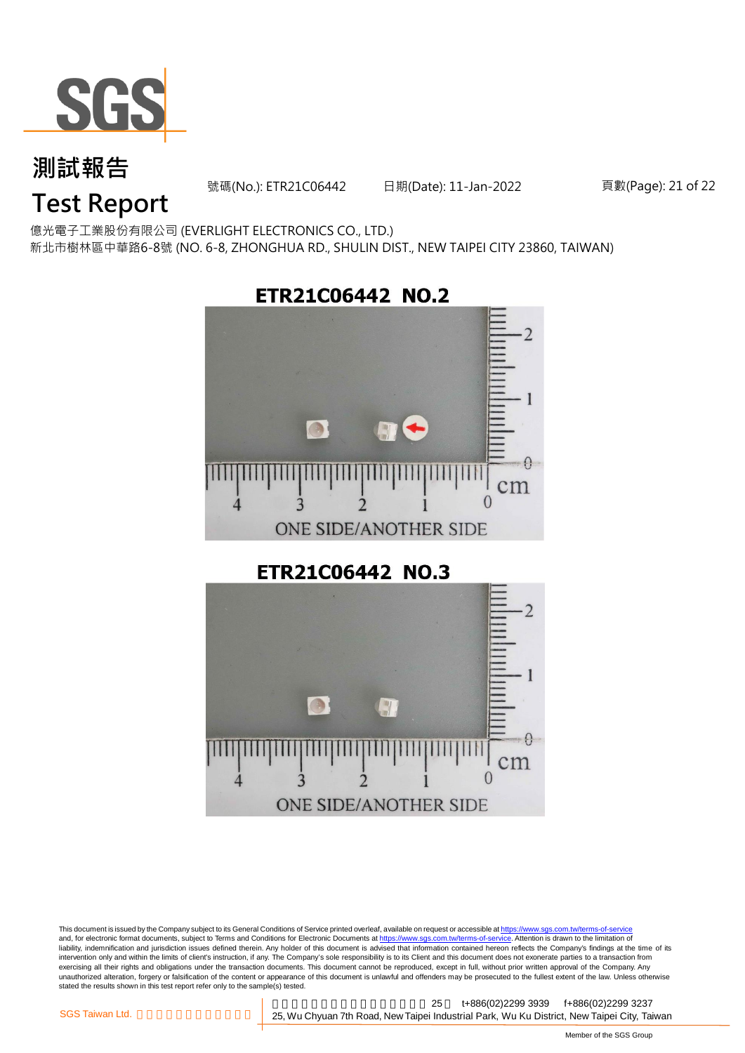

號碼(No.): ETR21C06442 日期(Date): 11-Jan-2022 頁數(Page): 21 of 22

## **Test Report**

億光電子工業股份有限公司 (EVERLIGHT ELECTRONICS CO., LTD.) 新北市樹林區中華路6-8號 (NO. 6-8, ZHONGHUA RD., SHULIN DIST., NEW TAIPEI CITY 23860, TAIWAN)



ETR21C06442 NO.3



This document is issued by the Company subject to its General Conditions of Service printed overleaf, available on request or accessible at <u>https://www.sgs.com.tw/terms-of-service</u><br>and, for electronic format documents, su liability, indemnification and jurisdiction issues defined therein. Any holder of this document is advised that information contained hereon reflects the Company's findings at the time of its intervention only and within the limits of client's instruction, if any. The Company's sole responsibility is to its Client and this document does not exonerate parties to a transaction from exercising all their rights and obligations under the transaction documents. This document cannot be reproduced, except in full, without prior written approval of the Company. Any<br>unauthorized alteration, forgery or falsif